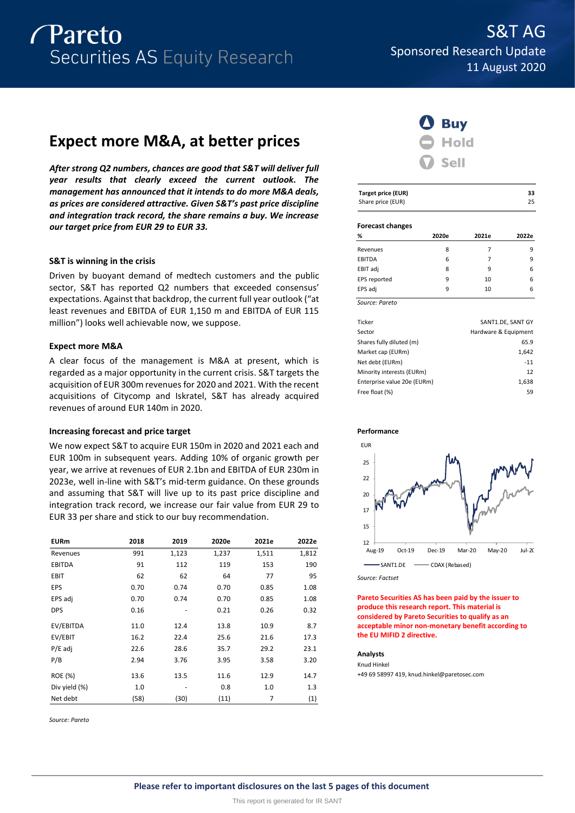

# **Expect more M&A, at better prices**

*After strong Q2 numbers, chances are good that S&T will deliver full year results that clearly exceed the current outlook. The management has announced that it intends to do more M&A deals, as prices are considered attractive. Given S&T's past price discipline and integration track record, the share remains a buy. We increase our target price from EUR 29 to EUR 33.*

## **S&T is winning in the crisis**

Driven by buoyant demand of medtech customers and the public sector, S&T has reported Q2 numbers that exceeded consensus' expectations. Against that backdrop, the current full year outlook ("at least revenues and EBITDA of EUR 1,150 m and EBITDA of EUR 115 million") looks well achievable now, we suppose.

## **Expect more M&A**

A clear focus of the management is M&A at present, which is regarded as a major opportunity in the current crisis. S&T targets the acquisition of EUR 300m revenues for 2020 and 2021. With the recent acquisitions of Citycomp and Iskratel, S&T has already acquired revenues of around EUR 140m in 2020.

## **Increasing forecast and price target**

We now expect S&T to acquire EUR 150m in 2020 and 2021 each and EUR 100m in subsequent years. Adding 10% of organic growth per year, we arrive at revenues of EUR 2.1bn and EBITDA of EUR 230m in 2023e, well in-line with S&T's mid-term guidance. On these grounds and assuming that S&T will live up to its past price discipline and integration track record, we increase our fair value from EUR 29 to EUR 33 per share and stick to our buy recommendation.

| <b>EURm</b>   | 2018 | 2019  | 2020e | 2021e | 2022e |
|---------------|------|-------|-------|-------|-------|
| Revenues      | 991  | 1,123 | 1,237 | 1,511 | 1,812 |
| <b>EBITDA</b> | 91   | 112   | 119   | 153   | 190   |
| EBIT          | 62   | 62    | 64    | 77    | 95    |
| EPS           | 0.70 | 0.74  | 0.70  | 0.85  | 1.08  |
| EPS adj       | 0.70 | 0.74  | 0.70  | 0.85  | 1.08  |
| <b>DPS</b>    | 0.16 |       | 0.21  | 0.26  | 0.32  |
| EV/EBITDA     | 11.0 | 12.4  | 13.8  | 10.9  | 8.7   |
| EV/EBIT       | 16.2 | 22.4  | 25.6  | 21.6  | 17.3  |
| $P/E$ adj     | 22.6 | 28.6  | 35.7  | 29.2  | 23.1  |
| P/B           | 2.94 | 3.76  | 3.95  | 3.58  | 3.20  |
| ROE (%)       | 13.6 | 13.5  | 11.6  | 12.9  | 14.7  |
| Div yield (%) | 1.0  |       | 0.8   | 1.0   | 1.3   |
| Net debt      | (58) | (30)  | (11)  | 7     | (1)   |

*Source: Pareto*



| Target price (EUR)      |       |       | 33    |
|-------------------------|-------|-------|-------|
| Share price (EUR)       |       |       | 25    |
|                         |       |       |       |
| <b>Forecast changes</b> |       |       |       |
| %                       | 2020e | 2021e | 2022e |
| Revenues                | 8     |       | q     |

| Source: Pareto |   |    |   |
|----------------|---|----|---|
| EPS adj        | q | 10 | 6 |
| EPS reported   | 9 | 10 | 6 |
| EBIT adj       | 8 | 9  | 6 |
| EBITDA         | 6 |    | 9 |
| Revenues       | 8 |    | 9 |

| Ticker                      | SANT1.DE, SANT GY    |
|-----------------------------|----------------------|
| Sector                      | Hardware & Equipment |
| Shares fully diluted (m)    | 65.9                 |
| Market cap (EURm)           | 1,642                |
| Net debt (EURm)             | $-11$                |
| Minority interests (EURm)   | 12                   |
| Enterprise value 20e (EURm) | 1,638                |
| Free float (%)              | 59                   |
|                             |                      |



*Source: Factset*

**Pareto Securities AS has been paid by the issuer to produce this research report. This material is considered by Pareto Securities to qualify as an acceptable minor non-monetary benefit according to the EU MIFID 2 directive.**

## **Analysts**

Knud Hinkel +49 69 58997 419, knud.hinkel@paretosec.com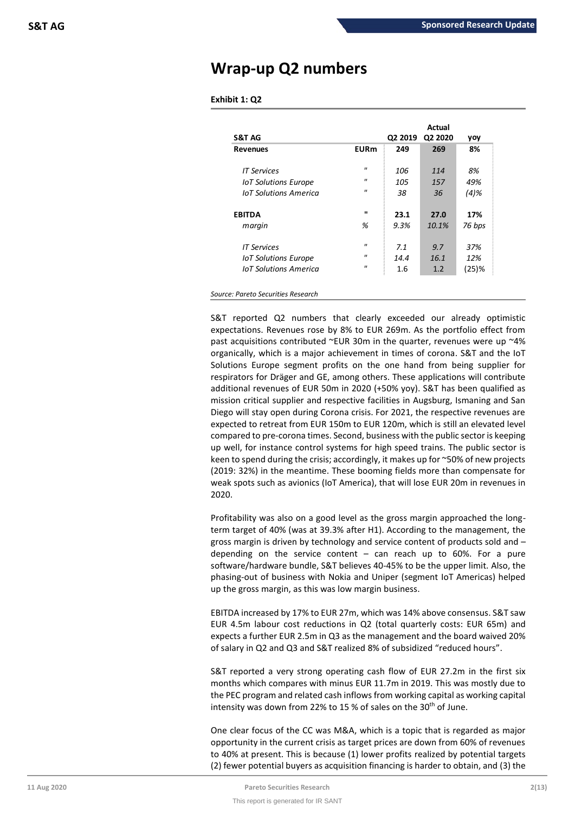# **Wrap-up Q2 numbers**

## **Exhibit 1: Q2**

| <b>S&amp;T AG</b>            |                   | Q2 2019 | Actual<br>Q2 2020 | yoy      |
|------------------------------|-------------------|---------|-------------------|----------|
| <b>Revenues</b>              | <b>EURm</b>       | 249     | 269               | 8%       |
| IT Services                  | $\mathbf{u}$      | 106     | 114               | 8%       |
| <b>IoT Solutions Europe</b>  | $^{\prime\prime}$ | 105     | 157               | 49%      |
| <b>IoT Solutions America</b> | $\mathbf{u}$      | 38      | 36                | $(4)$ %  |
| <b>EBITDA</b>                | $\mathbf{u}$      | 23.1    | 27.0              | 17%      |
| margin                       | %                 | 9.3%    | 10.1%             | 76 bps   |
| <b>IT Services</b>           | $\mathbf{u}$      | 7.1     | 9.7               | 37%      |
| <b>IoT Solutions Europe</b>  | $^{\prime}$       | 14.4    | 16.1              | 12%      |
| <b>IoT Solutions America</b> | $\mathbf{u}$      | 1.6     | 1.2               | $(25)$ % |

*Source: Pareto Securities Research*

S&T reported Q2 numbers that clearly exceeded our already optimistic expectations. Revenues rose by 8% to EUR 269m. As the portfolio effect from past acquisitions contributed ~EUR 30m in the quarter, revenues were up ~4% organically, which is a major achievement in times of corona. S&T and the IoT Solutions Europe segment profits on the one hand from being supplier for respirators for Dräger and GE, among others. These applications will contribute additional revenues of EUR 50m in 2020 (+50% yoy). S&T has been qualified as mission critical supplier and respective facilities in Augsburg, Ismaning and San Diego will stay open during Corona crisis. For 2021, the respective revenues are expected to retreat from EUR 150m to EUR 120m, which is still an elevated level compared to pre-corona times. Second, business with the public sector is keeping up well, for instance control systems for high speed trains. The public sector is keen to spend during the crisis; accordingly, it makes up for ~50% of new projects (2019: 32%) in the meantime. These booming fields more than compensate for weak spots such as avionics (IoT America), that will lose EUR 20m in revenues in 2020.

Profitability was also on a good level as the gross margin approached the longterm target of 40% (was at 39.3% after H1). According to the management, the gross margin is driven by technology and service content of products sold and – depending on the service content – can reach up to 60%. For a pure software/hardware bundle, S&T believes 40-45% to be the upper limit. Also, the phasing-out of business with Nokia and Uniper (segment IoT Americas) helped up the gross margin, as this was low margin business.

EBITDA increased by 17% to EUR 27m, which was 14% above consensus. S&T saw EUR 4.5m labour cost reductions in Q2 (total quarterly costs: EUR 65m) and expects a further EUR 2.5m in Q3 as the management and the board waived 20% of salary in Q2 and Q3 and S&T realized 8% of subsidized "reduced hours".

S&T reported a very strong operating cash flow of EUR 27.2m in the first six months which compares with minus EUR 11.7m in 2019. This was mostly due to the PEC program and related cash inflows from working capital as working capital intensity was down from 22% to 15 % of sales on the  $30<sup>th</sup>$  of June.

One clear focus of the CC was M&A, which is a topic that is regarded as major opportunity in the current crisis as target prices are down from 60% of revenues to 40% at present. This is because (1) lower profits realized by potential targets (2) fewer potential buyers as acquisition financing is harder to obtain, and (3) the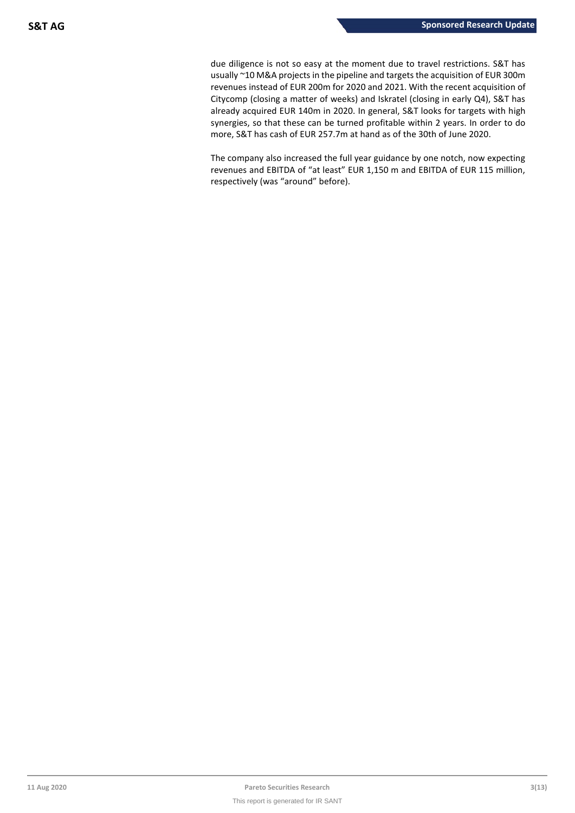due diligence is not so easy at the moment due to travel restrictions. S&T has usually ~10 M&A projects in the pipeline and targets the acquisition of EUR 300m revenues instead of EUR 200m for 2020 and 2021. With the recent acquisition of Citycomp (closing a matter of weeks) and Iskratel (closing in early Q4), S&T has already acquired EUR 140m in 2020. In general, S&T looks for targets with high synergies, so that these can be turned profitable within 2 years. In order to do more, S&T has cash of EUR 257.7m at hand as of the 30th of June 2020.

The company also increased the full year guidance by one notch, now expecting revenues and EBITDA of "at least" EUR 1,150 m and EBITDA of EUR 115 million, respectively (was "around" before).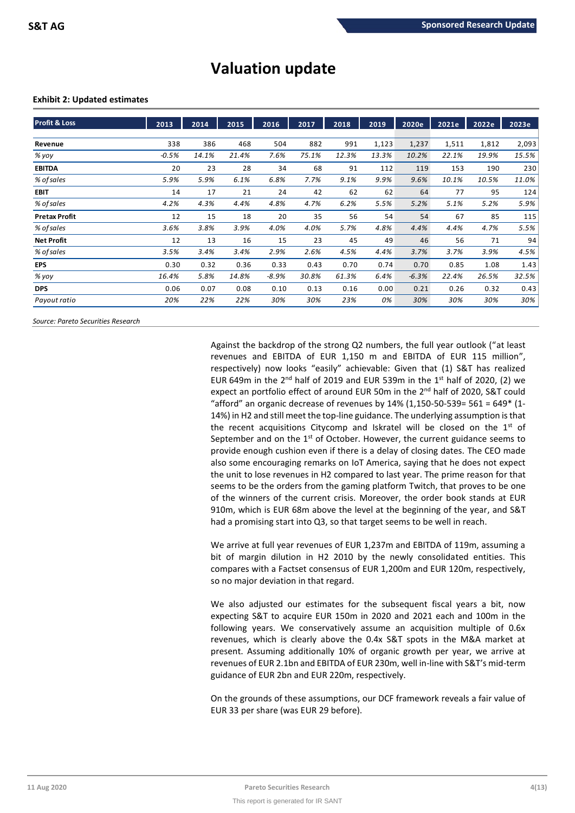# **Valuation update**

## **Exhibit 2: Updated estimates**

| <b>Profit &amp; Loss</b> | 2013    | 2014  | 2015  | 2016    | 2017  | 2018  | 2019  | 2020e   | 2021e | 2022e | 2023e |
|--------------------------|---------|-------|-------|---------|-------|-------|-------|---------|-------|-------|-------|
| Revenue                  | 338     | 386   | 468   | 504     | 882   | 991   | 1,123 | 1,237   | 1,511 | 1,812 | 2,093 |
| % yoy                    | $-0.5%$ | 14.1% | 21.4% | 7.6%    | 75.1% | 12.3% | 13.3% | 10.2%   | 22.1% | 19.9% | 15.5% |
| <b>EBITDA</b>            | 20      | 23    | 28    | 34      | 68    | 91    | 112   | 119     | 153   | 190   | 230   |
| % of sales               | 5.9%    | 5.9%  | 6.1%  | 6.8%    | 7.7%  | 9.1%  | 9.9%  | 9.6%    | 10.1% | 10.5% | 11.0% |
| <b>EBIT</b>              | 14      | 17    | 21    | 24      | 42    | 62    | 62    | 64      | 77    | 95    | 124   |
| % of sales               | 4.2%    | 4.3%  | 4.4%  | 4.8%    | 4.7%  | 6.2%  | 5.5%  | 5.2%    | 5.1%  | 5.2%  | 5.9%  |
| <b>Pretax Profit</b>     | 12      | 15    | 18    | 20      | 35    | 56    | 54    | 54      | 67    | 85    | 115   |
| % of sales               | 3.6%    | 3.8%  | 3.9%  | 4.0%    | 4.0%  | 5.7%  | 4.8%  | 4.4%    | 4.4%  | 4.7%  | 5.5%  |
| <b>Net Profit</b>        | 12      | 13    | 16    | 15      | 23    | 45    | 49    | 46      | 56    | 71    | 94    |
| % of sales               | 3.5%    | 3.4%  | 3.4%  | 2.9%    | 2.6%  | 4.5%  | 4.4%  | 3.7%    | 3.7%  | 3.9%  | 4.5%  |
| <b>EPS</b>               | 0.30    | 0.32  | 0.36  | 0.33    | 0.43  | 0.70  | 0.74  | 0.70    | 0.85  | 1.08  | 1.43  |
| % yoy                    | 16.4%   | 5.8%  | 14.8% | $-8.9%$ | 30.8% | 61.3% | 6.4%  | $-6.3%$ | 22.4% | 26.5% | 32.5% |
| <b>DPS</b>               | 0.06    | 0.07  | 0.08  | 0.10    | 0.13  | 0.16  | 0.00  | 0.21    | 0.26  | 0.32  | 0.43  |
| Payout ratio             | 20%     | 22%   | 22%   | 30%     | 30%   | 23%   | 0%    | 30%     | 30%   | 30%   | 30%   |

*Source: Pareto Securities Research*

Against the backdrop of the strong Q2 numbers, the full year outlook ("at least revenues and EBITDA of EUR 1,150 m and EBITDA of EUR 115 million", respectively) now looks "easily" achievable: Given that (1) S&T has realized EUR 649m in the  $2^{nd}$  half of 2019 and EUR 539m in the  $1^{st}$  half of 2020, (2) we expect an portfolio effect of around EUR 50m in the 2<sup>nd</sup> half of 2020, S&T could "afford" an organic decrease of revenues by  $14\%$  (1,150-50-539= 561 = 649\* (1-14%) in H2 and still meet the top-line guidance. The underlying assumption is that the recent acquisitions Citycomp and Iskratel will be closed on the  $1<sup>st</sup>$  of September and on the  $1<sup>st</sup>$  of October. However, the current guidance seems to provide enough cushion even if there is a delay of closing dates. The CEO made also some encouraging remarks on IoT America, saying that he does not expect the unit to lose revenues in H2 compared to last year. The prime reason for that seems to be the orders from the gaming platform Twitch, that proves to be one of the winners of the current crisis. Moreover, the order book stands at EUR 910m, which is EUR 68m above the level at the beginning of the year, and S&T had a promising start into Q3, so that target seems to be well in reach.

We arrive at full year revenues of EUR 1,237m and EBITDA of 119m, assuming a bit of margin dilution in H2 2010 by the newly consolidated entities. This compares with a Factset consensus of EUR 1,200m and EUR 120m, respectively, so no major deviation in that regard.

We also adjusted our estimates for the subsequent fiscal years a bit, now expecting S&T to acquire EUR 150m in 2020 and 2021 each and 100m in the following years. We conservatively assume an acquisition multiple of 0.6x revenues, which is clearly above the 0.4x S&T spots in the M&A market at present. Assuming additionally 10% of organic growth per year, we arrive at revenues of EUR 2.1bn and EBITDA of EUR 230m, well in-line with S&T's mid-term guidance of EUR 2bn and EUR 220m, respectively.

On the grounds of these assumptions, our DCF framework reveals a fair value of EUR 33 per share (was EUR 29 before).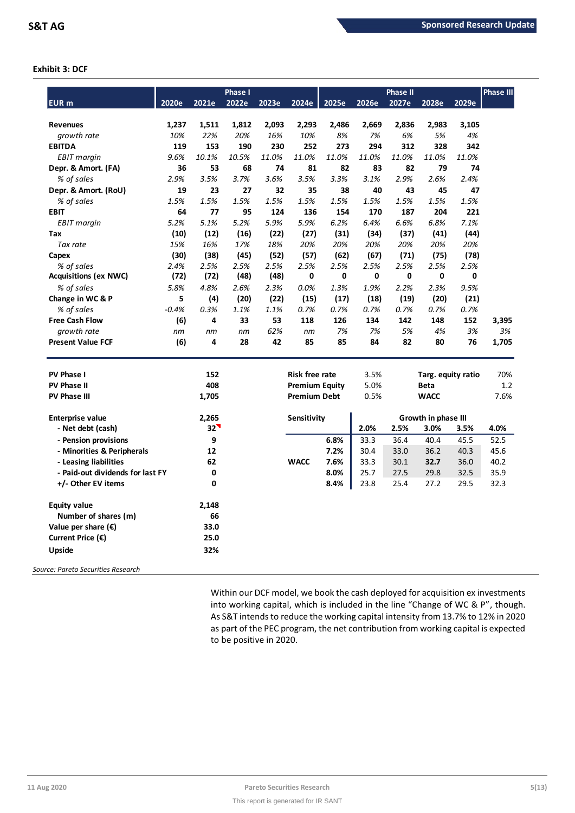## **Exhibit 3: DCF**

|                                  |         |                     | <b>Phase I</b> |       |                       |       |       | <b>Phase II</b> |                     |       | <b>Phase III</b> |
|----------------------------------|---------|---------------------|----------------|-------|-----------------------|-------|-------|-----------------|---------------------|-------|------------------|
| <b>EUR</b> m                     | 2020e   | 2021e               | 2022e          | 2023e | 2024e                 | 2025e | 2026e | 2027e           | 2028e               | 2029e |                  |
|                                  |         |                     |                |       |                       |       |       |                 |                     |       |                  |
| <b>Revenues</b>                  | 1,237   | 1,511               | 1,812          | 2,093 | 2,293                 | 2,486 | 2,669 | 2,836           | 2,983               | 3,105 |                  |
| growth rate                      | 10%     | 22%                 | 20%            | 16%   | 10%                   | 8%    | 7%    | 6%              | 5%                  | 4%    |                  |
| <b>EBITDA</b>                    | 119     | 153                 | 190            | 230   | 252                   | 273   | 294   | 312             | 328                 | 342   |                  |
| <b>EBIT</b> margin               | 9.6%    | 10.1%               | 10.5%          | 11.0% | 11.0%                 | 11.0% | 11.0% | 11.0%           | 11.0%               | 11.0% |                  |
| Depr. & Amort. (FA)              | 36      | 53                  | 68             | 74    | 81                    | 82    | 83    | 82              | 79                  | 74    |                  |
| % of sales                       | 2.9%    | 3.5%                | 3.7%           | 3.6%  | 3.5%                  | 3.3%  | 3.1%  | 2.9%            | 2.6%                | 2.4%  |                  |
| Depr. & Amort. (RoU)             | 19      | 23                  | 27             | 32    | 35                    | 38    | 40    | 43              | 45                  | 47    |                  |
| % of sales                       | 1.5%    | 1.5%                | 1.5%           | 1.5%  | 1.5%                  | 1.5%  | 1.5%  | 1.5%            | 1.5%                | 1.5%  |                  |
| <b>EBIT</b>                      | 64      | 77                  | 95             | 124   | 136                   | 154   | 170   | 187             | 204                 | 221   |                  |
| <b>EBIT</b> margin               | 5.2%    | 5.1%                | 5.2%           | 5.9%  | 5.9%                  | 6.2%  | 6.4%  | 6.6%            | 6.8%                | 7.1%  |                  |
| Tax                              | (10)    | (12)                | (16)           | (22)  | (27)                  | (31)  | (34)  | (37)            | (41)                | (44)  |                  |
| Tax rate                         | 15%     | 16%                 | 17%            | 18%   | 20%                   | 20%   | 20%   | 20%             | 20%                 | 20%   |                  |
| Capex                            | (30)    | (38)                | (45)           | (52)  | (57)                  | (62)  | (67)  | (71)            | (75)                | (78)  |                  |
| % of sales                       | 2.4%    | 2.5%                | 2.5%           | 2.5%  | 2.5%                  | 2.5%  | 2.5%  | 2.5%            | 2.5%                | 2.5%  |                  |
| <b>Acquisitions (ex NWC)</b>     | (72)    | (72)                | (48)           | (48)  | 0                     | 0     | 0     | 0               | 0                   | 0     |                  |
| % of sales                       | 5.8%    | 4.8%                | 2.6%           | 2.3%  | 0.0%                  | 1.3%  | 1.9%  | 2.2%            | 2.3%                | 9.5%  |                  |
| Change in WC & P                 | 5       | (4)                 | (20)           | (22)  | (15)                  | (17)  | (18)  | (19)            | (20)                | (21)  |                  |
| % of sales                       | $-0.4%$ | 0.3%                | 1.1%           | 1.1%  | 0.7%                  | 0.7%  | 0.7%  | 0.7%            | 0.7%                | 0.7%  |                  |
| <b>Free Cash Flow</b>            | (6)     | 4                   | 33             | 53    | 118                   | 126   | 134   | 142             | 148                 | 152   | 3,395            |
| growth rate                      | nm      | nm                  | nm             | 62%   | nm                    | 7%    | 7%    | 5%              | 4%                  | 3%    | 3%               |
| <b>Present Value FCF</b>         | (6)     | 4                   | 28             | 42    | 85                    | 85    | 84    | 82              | 80                  | 76    | 1,705            |
| <b>PV Phase I</b>                |         | 152                 |                |       | <b>Risk free rate</b> |       | 3.5%  |                 | Targ. equity ratio  |       | 70%              |
| PV Phase II                      |         | 408                 |                |       | <b>Premium Equity</b> |       | 5.0%  |                 | <b>Beta</b>         |       | 1.2              |
| PV Phase III                     |         | 1,705               |                |       | <b>Premium Debt</b>   |       | 0.5%  |                 | <b>WACC</b>         |       | 7.6%             |
|                                  |         |                     |                |       |                       |       |       |                 |                     |       |                  |
| <b>Enterprise value</b>          |         | 2,265               |                |       | <b>Sensitivity</b>    |       |       |                 | Growth in phase III |       |                  |
| - Net debt (cash)                |         | $32^{\prime\prime}$ |                |       |                       |       | 2.0%  | 2.5%            | 3.0%                | 3.5%  | 4.0%             |
| - Pension provisions             |         | 9                   |                |       |                       | 6.8%  | 33.3  | 36.4            | 40.4                | 45.5  | 52.5             |
| - Minorities & Peripherals       |         | 12                  |                |       |                       | 7.2%  | 30.4  | 33.0            | 36.2                | 40.3  | 45.6             |
| - Leasing liabilities            |         | 62                  |                |       | <b>WACC</b>           | 7.6%  | 33.3  | 30.1            | 32.7                | 36.0  | 40.2             |
| - Paid-out dividends for last FY |         | 0                   |                |       |                       | 8.0%  | 25.7  | 27.5            | 29.8                | 32.5  | 35.9             |
| +/- Other EV items               |         | 0                   |                |       |                       | 8.4%  | 23.8  | 25.4            | 27.2                | 29.5  | 32.3             |
| <b>Equity value</b>              |         | 2,148               |                |       |                       |       |       |                 |                     |       |                  |
| Number of shares (m)             |         | 66                  |                |       |                       |       |       |                 |                     |       |                  |
| Value per share $(\epsilon)$     |         | 33.0                |                |       |                       |       |       |                 |                     |       |                  |
| Current Price $(\epsilon)$       |         | 25.0                |                |       |                       |       |       |                 |                     |       |                  |
| <b>Upside</b>                    |         | 32%                 |                |       |                       |       |       |                 |                     |       |                  |
|                                  |         |                     |                |       |                       |       |       |                 |                     |       |                  |

*Source: Pareto Securities Research*

Within our DCF model, we book the cash deployed for acquisition ex investments into working capital, which is included in the line "Change of WC & P", though. As S&T intends to reduce the working capital intensity from 13.7% to 12% in 2020 as part of the PEC program, the net contribution from working capital is expected to be positive in 2020.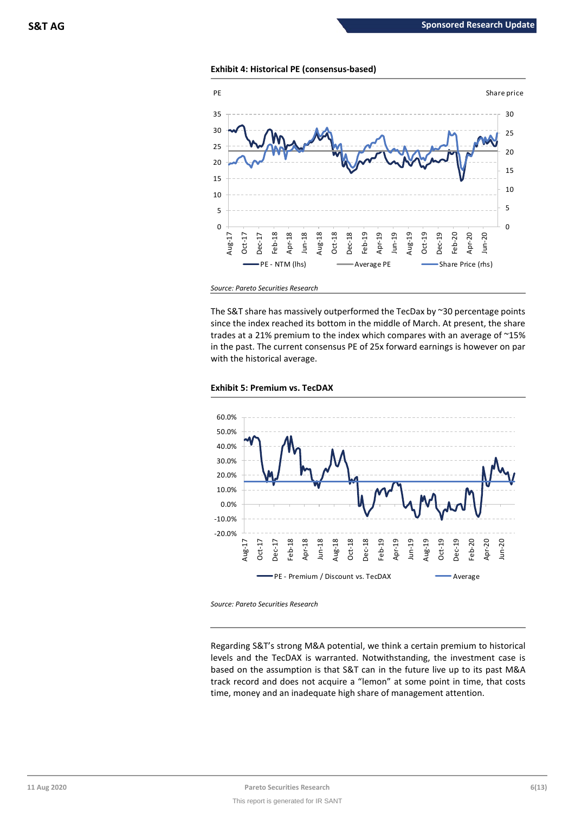## **Exhibit 4: Historical PE (consensus-based)**



*Source: Pareto Securities Research*

The S&T share has massively outperformed the TecDax by ~30 percentage points since the index reached its bottom in the middle of March. At present, the share trades at a 21% premium to the index which compares with an average of ~15% in the past. The current consensus PE of 25x forward earnings is however on par with the historical average.

## **Exhibit 5: Premium vs. TecDAX**



*Source: Pareto Securities Research*

Regarding S&T's strong M&A potential, we think a certain premium to historical levels and the TecDAX is warranted. Notwithstanding, the investment case is based on the assumption is that S&T can in the future live up to its past M&A track record and does not acquire a "lemon" at some point in time, that costs time, money and an inadequate high share of management attention.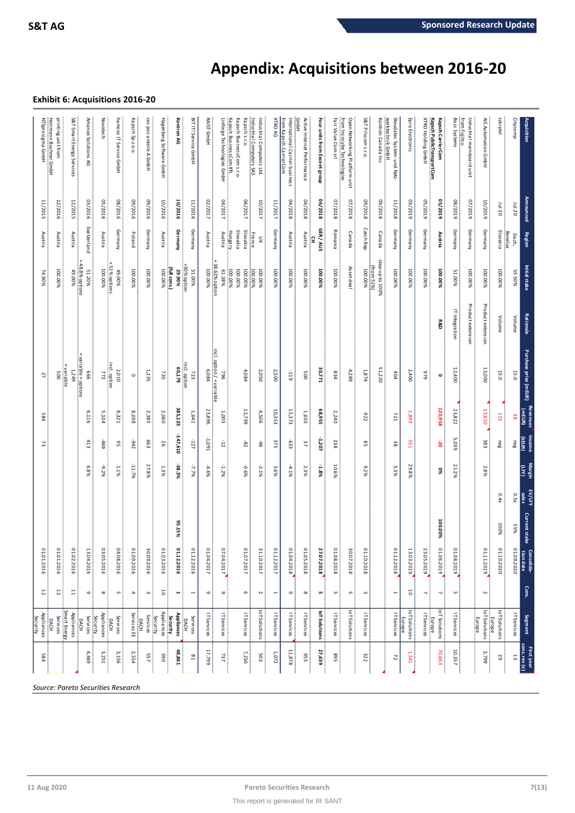# **Appendix: Acquisitions between 2016-20**

## **Exhibit 6: Acquisitions 2016-20**

| Herrmann Buchner GmbH<br>NTSprosigma GmbH<br>Linforge Technologies GmbH<br>Industrial Computers SAS<br>International Carrier business<br><b>GmbH</b><br>from Incocybe Technologies<br>werktechnik GmbH<br>Steudatec System- und Netz-<br>from Fujitsu<br>printing unit from<br>S&T Smart Energy Services<br>Amanox Solutions<br>Novotech<br>hamcos IT Service GmbH<br>Kapsch Sp.z.o.o.<br>ces pos anteile A GmbH<br>Hagenberg Software GmbH<br>Kontron AG<br>BIT IT! Service GmbH<br>RAIST GmbH<br>Kapsch BusinessCom Kft<br>Kapsch BusinessCom s.r.o.<br>Kapsch s.r.o.<br>XTRO AG<br>from Kapsch CarrierCom<br>Active Internet Performance<br>Four units from Exceet group<br>Fair Value Com srl<br>Open Networking Platform unit<br>S&T Pilscom s.r.o.<br>Kontron Canada Inc.<br>Epro Electronic<br><b>XTRO Holding GmbH</b><br>Kapsch PublicTransportCom<br>Bass Systems<br>AIS Automation GmbH<br>Citycomp<br>Industrial Computers Ltd.<br>Kapsch CarrierCom<br>Industrial mainboard unit<br>Iskratel<br>ξ<br>8102/10<br>06/2018<br>03/2016<br>05/2016<br>08/2016<br>10/2016<br>02/2017<br>04/2017<br>04/2018<br>07/2018<br>07/2018<br>810Z/60<br>03/2019<br>62/5019<br>62/507<br>07/2019<br>09/2016<br>09/2016<br>06/2017<br>10/2017<br>11/2017<br>810Z/60<br>11/2018<br>610Z/80<br>11/2015<br>12/2016<br>12/2015<br>10/2016<br>11/2016<br>10/2019<br>Jul 20<br>Jul 20<br>Switzerland<br>Czech Rep<br>GER / AUS<br>Germany<br>Germany<br>Slovenia<br>Germany<br>Germany<br>Germany<br>Germany<br>Slovakia<br>Slovakia<br>Germany<br>Romania<br>Germany<br>Germany<br>Germany<br>Germany<br>Hungary<br>Canada<br>Benelux<br>Poland<br>Austria<br>Canada<br>Austria<br>Austria<br>Austria<br>Austria<br>Austria<br>Austria<br>Austria<br>Austria<br>Austria<br>France<br>Dach,<br>š<br>£<br>step-up to 100%<br>+48.8% options<br>38.62% option<br>+30% option<br>51% options<br>from 51%)<br>Asset deal<br>(full cons.)<br>100.00%<br>100.00%<br>100.00%<br>100.00%<br>100.00%<br>100.00%<br>100.00%<br>100.00%<br>100.00%<br>100.00%<br>100.00%<br>100.00%<br>100.00%<br>100.00%<br>100.00%<br>51.20%<br>100.00%<br>61.38%<br>100.00%<br>100.00%<br>100.00%<br>100.00%<br>100.00%<br>100.00%<br>100.00%<br>100.00%<br>55.50%<br>29.90%<br>51.00%<br>49.00%<br>49.00%<br>51.00%<br>74.90%<br>Product extension<br>Product extension<br>IT Integration<br>Volume<br>Volume<br><b>R&amp;D</b><br>incl. option / + variable<br>+ variable + options<br>incl. option<br>incl. option<br>+variable<br>60,179<br>51,220<br>30,771<br>12,400<br>13,000<br>6,084<br>4,084<br>2,500<br>4,289<br>1,249<br>1,235<br>2,050<br>1,874<br>2,400<br>2,010<br>15.0<br>15.0<br>$-119$<br>500<br>999<br>772<br>720<br>964<br>005<br>834<br>646<br>723<br>404<br>27<br>$\circ$<br>$\bullet$<br>385,125<br>120,958<br>13,610<br>10,353<br>15,373<br>68,955<br>23,822<br>23,896<br>12,799<br>1,630<br>6,116<br>5,104<br>8,321<br>8038<br>2,385<br>2,060<br>1,641<br>4,506<br>2,240<br>1,005<br>276<br>115<br>584<br>721<br>38<br><b>6t8</b><br>147,610<br>(KEUR)<br>1,091<br>-1,207<br>5,039<br>413<br>663<br>$-127$<br>375<br>-633<br>551<br>383<br>neg<br>neg<br>69<br>242<br>$-12$<br>238<br>$-96$<br>37<br>GG<br>26<br>82<br>SS<br>38<br>ຮ<br>73<br>$-11.7%$<br>-38.3%<br>27.8%<br>10.6%<br>29.8%<br>21.2%<br>$-1.2%$<br>ίFΥ)<br>ო.<br>-0.6%<br>3.6%<br>2.3%<br>Ö.<br>5.3%<br>2.8%<br>$-9.2%$<br>1.1%<br>1.3%<br>$-7.7\%$<br>$-4.6%$<br>$-4.1%$<br>$-1.8%$<br>$-2.1\%$<br>9%<br>%8<br>2%<br>sales<br>0.4x<br>0.5x<br>100.00%<br>95.15%<br>100%<br>%SS<br>01.01.2016<br>01.01.2016<br>04.08.2016<br>01.12.2016<br>01.12.2016<br>01.08.2018<br>01.09.2020<br>01.02.2016<br>03.05.2016<br>01.09.2016<br>30.09.2016<br>01.03.2016<br>01.04.2017<br>07.04.2017<br>01.07.2017<br>31.10.2017<br>01.12.2017<br>01.04.2018<br>01.05.2018<br>27.07.2018<br>30.07.2018<br>01.10.2018<br>01.12.2018<br>13.03.2019<br>01.06.2019<br>01.08.2019<br>01.11.2019<br>01.10.2020<br>13.04.2016<br>23.05.2019<br>12<br>Ξ<br>5<br>5<br>5<br>6<br>$\infty$<br>$\mathsf{G}$<br>$\infty$<br>G<br>ω<br>$\overline{\phantom{a}}$<br>$\overline{\phantom{a}}$<br><b>u</b><br>C<br>$\overline{\mathbf{d}}$<br>$\boldsymbol{\omega}$<br>۳<br>⊢<br>$\mathbf \omega$<br>G<br>$\boldsymbol{\sim}$<br>$\overline{\phantom{a}}$<br>φ<br>UΠ<br>U<br>$\blacksquare$<br>N<br>loT Solutions<br>loT Solutions<br>Smart Energy<br>loT Solutions<br>loT Solutions<br>loT Solutions<br>loT Solutions<br>loT Solutions<br>Appliances<br>Appliances<br>Services EE<br>IT Services<br>IT Services<br>Appliances<br>Appliances<br>IT Services<br>IT Services<br>IT Services<br>IT Services<br>IT Services<br>IT Services<br>IT Services<br>IT Services<br>IT Services<br>IT Services<br>Services<br>Services<br>Security<br>Services<br>Services<br>Security<br>Services<br>Security<br>Europe<br><b>Europe</b><br>Europe<br>Europe<br><b>DACH</b><br><b>DACH</b><br><b>DACH</b><br>DACH<br><b>DACH</b><br>11,878<br>27,639<br>70,663<br>48,861<br>17,799<br>10,357<br>4,469<br>3,251<br>3,156<br>2,554<br>7,250<br>1,072<br>2,799<br>525<br>584<br>557<br>390<br>502<br>568<br>322<br>737<br>5<br>$\overline{\phantom{0}}$<br>59<br>541<br>$\overline{z}$ | Acquisition | Announced | Region | Initial stake | <b>Rationale</b> | Purchase price (mEUR) | Revenues | <b>Income</b> | <b>Margin</b> | EV/LFY | <b>Current stake</b> | Consolida-<br>tion date | Cons. | Segment                | First year<br>cons. rev (e) |
|-----------------------------------------------------------------------------------------------------------------------------------------------------------------------------------------------------------------------------------------------------------------------------------------------------------------------------------------------------------------------------------------------------------------------------------------------------------------------------------------------------------------------------------------------------------------------------------------------------------------------------------------------------------------------------------------------------------------------------------------------------------------------------------------------------------------------------------------------------------------------------------------------------------------------------------------------------------------------------------------------------------------------------------------------------------------------------------------------------------------------------------------------------------------------------------------------------------------------------------------------------------------------------------------------------------------------------------------------------------------------------------------------------------------------------------------------------------------------------------------------------------------------------------------------------------------------------------------------------------------------------------------------------------------------------------------------------------------------------------------------------------------------------------------------------------------------------------------------------------------------------------------------------------------------------------------------------------------------------------------------------------------------------------------------------------------------------------------------------------------------------------------------------------------------------------------------------------------------------------------------------------------------------------------------------------------------------------------------------------------------------------------------------------------------------------------------------------------------------------------------------------------------------------------------------------------------------------------------------------------------------------------------------------------------------------------------------------------------------------------------------------------------------------------------------------------------------------------------------------------------------------------------------------------------------------------------------------------------------------------------------------------------------------------------------------------------------------------------------------------------------------------------------------------------------------------------------------------------------------------------------------------------------------------------------------------------------------------------------------------------------------------------------------------------------------------------------------------------------------------------------------------------------------------------------------------------------------------------------------------------------------------------------------------------------------------------------------------------------------------------------------------------------------------------------------------------------------------------------------------------------------------------------------------------------------------------------------------------------------------------------------------------------------------------------------------------------------------------------------------------------------------------------------------------------------------------------------------------------------------------------------------------------------------------------------------------------------------------------------------------------------------------------------------------------------------------------------------------------------------------------------------------------------------------------------------------------------------------------------------------------------------------------------------------------------------------------------------------------------------------------------------------------------------------------------------------------------------------------------------------------------------------------------------------------------------------------------------------------------------------------------------------------------------------------------------------------------------------------------------------------------------------------------------------------------------------|-------------|-----------|--------|---------------|------------------|-----------------------|----------|---------------|---------------|--------|----------------------|-------------------------|-------|------------------------|-----------------------------|
|                                                                                                                                                                                                                                                                                                                                                                                                                                                                                                                                                                                                                                                                                                                                                                                                                                                                                                                                                                                                                                                                                                                                                                                                                                                                                                                                                                                                                                                                                                                                                                                                                                                                                                                                                                                                                                                                                                                                                                                                                                                                                                                                                                                                                                                                                                                                                                                                                                                                                                                                                                                                                                                                                                                                                                                                                                                                                                                                                                                                                                                                                                                                                                                                                                                                                                                                                                                                                                                                                                                                                                                                                                                                                                                                                                                                                                                                                                                                                                                                                                                                                                                                                                                                                                                                                                                                                                                                                                                                                                                                                                                                                                                                                                                                                                                                                                                                                                                                                                                                                                                                                                                                                                                               |             |           |        |               |                  |                       |          |               |               |        |                      |                         |       |                        |                             |
|                                                                                                                                                                                                                                                                                                                                                                                                                                                                                                                                                                                                                                                                                                                                                                                                                                                                                                                                                                                                                                                                                                                                                                                                                                                                                                                                                                                                                                                                                                                                                                                                                                                                                                                                                                                                                                                                                                                                                                                                                                                                                                                                                                                                                                                                                                                                                                                                                                                                                                                                                                                                                                                                                                                                                                                                                                                                                                                                                                                                                                                                                                                                                                                                                                                                                                                                                                                                                                                                                                                                                                                                                                                                                                                                                                                                                                                                                                                                                                                                                                                                                                                                                                                                                                                                                                                                                                                                                                                                                                                                                                                                                                                                                                                                                                                                                                                                                                                                                                                                                                                                                                                                                                                               |             |           |        |               |                  |                       |          |               |               |        |                      |                         |       |                        |                             |
|                                                                                                                                                                                                                                                                                                                                                                                                                                                                                                                                                                                                                                                                                                                                                                                                                                                                                                                                                                                                                                                                                                                                                                                                                                                                                                                                                                                                                                                                                                                                                                                                                                                                                                                                                                                                                                                                                                                                                                                                                                                                                                                                                                                                                                                                                                                                                                                                                                                                                                                                                                                                                                                                                                                                                                                                                                                                                                                                                                                                                                                                                                                                                                                                                                                                                                                                                                                                                                                                                                                                                                                                                                                                                                                                                                                                                                                                                                                                                                                                                                                                                                                                                                                                                                                                                                                                                                                                                                                                                                                                                                                                                                                                                                                                                                                                                                                                                                                                                                                                                                                                                                                                                                                               |             |           |        |               |                  |                       |          |               |               |        |                      |                         |       |                        |                             |
|                                                                                                                                                                                                                                                                                                                                                                                                                                                                                                                                                                                                                                                                                                                                                                                                                                                                                                                                                                                                                                                                                                                                                                                                                                                                                                                                                                                                                                                                                                                                                                                                                                                                                                                                                                                                                                                                                                                                                                                                                                                                                                                                                                                                                                                                                                                                                                                                                                                                                                                                                                                                                                                                                                                                                                                                                                                                                                                                                                                                                                                                                                                                                                                                                                                                                                                                                                                                                                                                                                                                                                                                                                                                                                                                                                                                                                                                                                                                                                                                                                                                                                                                                                                                                                                                                                                                                                                                                                                                                                                                                                                                                                                                                                                                                                                                                                                                                                                                                                                                                                                                                                                                                                                               |             |           |        |               |                  |                       |          |               |               |        |                      |                         |       |                        |                             |
|                                                                                                                                                                                                                                                                                                                                                                                                                                                                                                                                                                                                                                                                                                                                                                                                                                                                                                                                                                                                                                                                                                                                                                                                                                                                                                                                                                                                                                                                                                                                                                                                                                                                                                                                                                                                                                                                                                                                                                                                                                                                                                                                                                                                                                                                                                                                                                                                                                                                                                                                                                                                                                                                                                                                                                                                                                                                                                                                                                                                                                                                                                                                                                                                                                                                                                                                                                                                                                                                                                                                                                                                                                                                                                                                                                                                                                                                                                                                                                                                                                                                                                                                                                                                                                                                                                                                                                                                                                                                                                                                                                                                                                                                                                                                                                                                                                                                                                                                                                                                                                                                                                                                                                                               |             |           |        |               |                  |                       |          |               |               |        |                      |                         |       |                        |                             |
|                                                                                                                                                                                                                                                                                                                                                                                                                                                                                                                                                                                                                                                                                                                                                                                                                                                                                                                                                                                                                                                                                                                                                                                                                                                                                                                                                                                                                                                                                                                                                                                                                                                                                                                                                                                                                                                                                                                                                                                                                                                                                                                                                                                                                                                                                                                                                                                                                                                                                                                                                                                                                                                                                                                                                                                                                                                                                                                                                                                                                                                                                                                                                                                                                                                                                                                                                                                                                                                                                                                                                                                                                                                                                                                                                                                                                                                                                                                                                                                                                                                                                                                                                                                                                                                                                                                                                                                                                                                                                                                                                                                                                                                                                                                                                                                                                                                                                                                                                                                                                                                                                                                                                                                               |             |           |        |               |                  |                       |          |               |               |        |                      |                         |       |                        |                             |
|                                                                                                                                                                                                                                                                                                                                                                                                                                                                                                                                                                                                                                                                                                                                                                                                                                                                                                                                                                                                                                                                                                                                                                                                                                                                                                                                                                                                                                                                                                                                                                                                                                                                                                                                                                                                                                                                                                                                                                                                                                                                                                                                                                                                                                                                                                                                                                                                                                                                                                                                                                                                                                                                                                                                                                                                                                                                                                                                                                                                                                                                                                                                                                                                                                                                                                                                                                                                                                                                                                                                                                                                                                                                                                                                                                                                                                                                                                                                                                                                                                                                                                                                                                                                                                                                                                                                                                                                                                                                                                                                                                                                                                                                                                                                                                                                                                                                                                                                                                                                                                                                                                                                                                                               |             |           |        |               |                  |                       |          |               |               |        |                      |                         |       |                        |                             |
|                                                                                                                                                                                                                                                                                                                                                                                                                                                                                                                                                                                                                                                                                                                                                                                                                                                                                                                                                                                                                                                                                                                                                                                                                                                                                                                                                                                                                                                                                                                                                                                                                                                                                                                                                                                                                                                                                                                                                                                                                                                                                                                                                                                                                                                                                                                                                                                                                                                                                                                                                                                                                                                                                                                                                                                                                                                                                                                                                                                                                                                                                                                                                                                                                                                                                                                                                                                                                                                                                                                                                                                                                                                                                                                                                                                                                                                                                                                                                                                                                                                                                                                                                                                                                                                                                                                                                                                                                                                                                                                                                                                                                                                                                                                                                                                                                                                                                                                                                                                                                                                                                                                                                                                               |             |           |        |               |                  |                       |          |               |               |        |                      |                         |       |                        |                             |
|                                                                                                                                                                                                                                                                                                                                                                                                                                                                                                                                                                                                                                                                                                                                                                                                                                                                                                                                                                                                                                                                                                                                                                                                                                                                                                                                                                                                                                                                                                                                                                                                                                                                                                                                                                                                                                                                                                                                                                                                                                                                                                                                                                                                                                                                                                                                                                                                                                                                                                                                                                                                                                                                                                                                                                                                                                                                                                                                                                                                                                                                                                                                                                                                                                                                                                                                                                                                                                                                                                                                                                                                                                                                                                                                                                                                                                                                                                                                                                                                                                                                                                                                                                                                                                                                                                                                                                                                                                                                                                                                                                                                                                                                                                                                                                                                                                                                                                                                                                                                                                                                                                                                                                                               |             |           |        |               |                  |                       |          |               |               |        |                      |                         |       |                        |                             |
|                                                                                                                                                                                                                                                                                                                                                                                                                                                                                                                                                                                                                                                                                                                                                                                                                                                                                                                                                                                                                                                                                                                                                                                                                                                                                                                                                                                                                                                                                                                                                                                                                                                                                                                                                                                                                                                                                                                                                                                                                                                                                                                                                                                                                                                                                                                                                                                                                                                                                                                                                                                                                                                                                                                                                                                                                                                                                                                                                                                                                                                                                                                                                                                                                                                                                                                                                                                                                                                                                                                                                                                                                                                                                                                                                                                                                                                                                                                                                                                                                                                                                                                                                                                                                                                                                                                                                                                                                                                                                                                                                                                                                                                                                                                                                                                                                                                                                                                                                                                                                                                                                                                                                                                               |             |           |        |               |                  |                       |          |               |               |        |                      |                         |       |                        |                             |
|                                                                                                                                                                                                                                                                                                                                                                                                                                                                                                                                                                                                                                                                                                                                                                                                                                                                                                                                                                                                                                                                                                                                                                                                                                                                                                                                                                                                                                                                                                                                                                                                                                                                                                                                                                                                                                                                                                                                                                                                                                                                                                                                                                                                                                                                                                                                                                                                                                                                                                                                                                                                                                                                                                                                                                                                                                                                                                                                                                                                                                                                                                                                                                                                                                                                                                                                                                                                                                                                                                                                                                                                                                                                                                                                                                                                                                                                                                                                                                                                                                                                                                                                                                                                                                                                                                                                                                                                                                                                                                                                                                                                                                                                                                                                                                                                                                                                                                                                                                                                                                                                                                                                                                                               |             |           |        |               |                  |                       |          |               |               |        |                      |                         |       |                        |                             |
|                                                                                                                                                                                                                                                                                                                                                                                                                                                                                                                                                                                                                                                                                                                                                                                                                                                                                                                                                                                                                                                                                                                                                                                                                                                                                                                                                                                                                                                                                                                                                                                                                                                                                                                                                                                                                                                                                                                                                                                                                                                                                                                                                                                                                                                                                                                                                                                                                                                                                                                                                                                                                                                                                                                                                                                                                                                                                                                                                                                                                                                                                                                                                                                                                                                                                                                                                                                                                                                                                                                                                                                                                                                                                                                                                                                                                                                                                                                                                                                                                                                                                                                                                                                                                                                                                                                                                                                                                                                                                                                                                                                                                                                                                                                                                                                                                                                                                                                                                                                                                                                                                                                                                                                               |             |           |        |               |                  |                       |          |               |               |        |                      |                         |       |                        |                             |
|                                                                                                                                                                                                                                                                                                                                                                                                                                                                                                                                                                                                                                                                                                                                                                                                                                                                                                                                                                                                                                                                                                                                                                                                                                                                                                                                                                                                                                                                                                                                                                                                                                                                                                                                                                                                                                                                                                                                                                                                                                                                                                                                                                                                                                                                                                                                                                                                                                                                                                                                                                                                                                                                                                                                                                                                                                                                                                                                                                                                                                                                                                                                                                                                                                                                                                                                                                                                                                                                                                                                                                                                                                                                                                                                                                                                                                                                                                                                                                                                                                                                                                                                                                                                                                                                                                                                                                                                                                                                                                                                                                                                                                                                                                                                                                                                                                                                                                                                                                                                                                                                                                                                                                                               |             |           |        |               |                  |                       |          |               |               |        |                      |                         |       |                        |                             |
|                                                                                                                                                                                                                                                                                                                                                                                                                                                                                                                                                                                                                                                                                                                                                                                                                                                                                                                                                                                                                                                                                                                                                                                                                                                                                                                                                                                                                                                                                                                                                                                                                                                                                                                                                                                                                                                                                                                                                                                                                                                                                                                                                                                                                                                                                                                                                                                                                                                                                                                                                                                                                                                                                                                                                                                                                                                                                                                                                                                                                                                                                                                                                                                                                                                                                                                                                                                                                                                                                                                                                                                                                                                                                                                                                                                                                                                                                                                                                                                                                                                                                                                                                                                                                                                                                                                                                                                                                                                                                                                                                                                                                                                                                                                                                                                                                                                                                                                                                                                                                                                                                                                                                                                               |             |           |        |               |                  |                       |          |               |               |        |                      |                         |       |                        |                             |
|                                                                                                                                                                                                                                                                                                                                                                                                                                                                                                                                                                                                                                                                                                                                                                                                                                                                                                                                                                                                                                                                                                                                                                                                                                                                                                                                                                                                                                                                                                                                                                                                                                                                                                                                                                                                                                                                                                                                                                                                                                                                                                                                                                                                                                                                                                                                                                                                                                                                                                                                                                                                                                                                                                                                                                                                                                                                                                                                                                                                                                                                                                                                                                                                                                                                                                                                                                                                                                                                                                                                                                                                                                                                                                                                                                                                                                                                                                                                                                                                                                                                                                                                                                                                                                                                                                                                                                                                                                                                                                                                                                                                                                                                                                                                                                                                                                                                                                                                                                                                                                                                                                                                                                                               |             |           |        |               |                  |                       |          |               |               |        |                      |                         |       |                        |                             |
|                                                                                                                                                                                                                                                                                                                                                                                                                                                                                                                                                                                                                                                                                                                                                                                                                                                                                                                                                                                                                                                                                                                                                                                                                                                                                                                                                                                                                                                                                                                                                                                                                                                                                                                                                                                                                                                                                                                                                                                                                                                                                                                                                                                                                                                                                                                                                                                                                                                                                                                                                                                                                                                                                                                                                                                                                                                                                                                                                                                                                                                                                                                                                                                                                                                                                                                                                                                                                                                                                                                                                                                                                                                                                                                                                                                                                                                                                                                                                                                                                                                                                                                                                                                                                                                                                                                                                                                                                                                                                                                                                                                                                                                                                                                                                                                                                                                                                                                                                                                                                                                                                                                                                                                               |             |           |        |               |                  |                       |          |               |               |        |                      |                         |       |                        |                             |
|                                                                                                                                                                                                                                                                                                                                                                                                                                                                                                                                                                                                                                                                                                                                                                                                                                                                                                                                                                                                                                                                                                                                                                                                                                                                                                                                                                                                                                                                                                                                                                                                                                                                                                                                                                                                                                                                                                                                                                                                                                                                                                                                                                                                                                                                                                                                                                                                                                                                                                                                                                                                                                                                                                                                                                                                                                                                                                                                                                                                                                                                                                                                                                                                                                                                                                                                                                                                                                                                                                                                                                                                                                                                                                                                                                                                                                                                                                                                                                                                                                                                                                                                                                                                                                                                                                                                                                                                                                                                                                                                                                                                                                                                                                                                                                                                                                                                                                                                                                                                                                                                                                                                                                                               |             |           |        |               |                  |                       |          |               |               |        |                      |                         |       |                        |                             |
|                                                                                                                                                                                                                                                                                                                                                                                                                                                                                                                                                                                                                                                                                                                                                                                                                                                                                                                                                                                                                                                                                                                                                                                                                                                                                                                                                                                                                                                                                                                                                                                                                                                                                                                                                                                                                                                                                                                                                                                                                                                                                                                                                                                                                                                                                                                                                                                                                                                                                                                                                                                                                                                                                                                                                                                                                                                                                                                                                                                                                                                                                                                                                                                                                                                                                                                                                                                                                                                                                                                                                                                                                                                                                                                                                                                                                                                                                                                                                                                                                                                                                                                                                                                                                                                                                                                                                                                                                                                                                                                                                                                                                                                                                                                                                                                                                                                                                                                                                                                                                                                                                                                                                                                               |             |           |        |               |                  |                       |          |               |               |        |                      |                         |       |                        |                             |
|                                                                                                                                                                                                                                                                                                                                                                                                                                                                                                                                                                                                                                                                                                                                                                                                                                                                                                                                                                                                                                                                                                                                                                                                                                                                                                                                                                                                                                                                                                                                                                                                                                                                                                                                                                                                                                                                                                                                                                                                                                                                                                                                                                                                                                                                                                                                                                                                                                                                                                                                                                                                                                                                                                                                                                                                                                                                                                                                                                                                                                                                                                                                                                                                                                                                                                                                                                                                                                                                                                                                                                                                                                                                                                                                                                                                                                                                                                                                                                                                                                                                                                                                                                                                                                                                                                                                                                                                                                                                                                                                                                                                                                                                                                                                                                                                                                                                                                                                                                                                                                                                                                                                                                                               |             |           |        |               |                  |                       |          |               |               |        |                      |                         |       |                        |                             |
|                                                                                                                                                                                                                                                                                                                                                                                                                                                                                                                                                                                                                                                                                                                                                                                                                                                                                                                                                                                                                                                                                                                                                                                                                                                                                                                                                                                                                                                                                                                                                                                                                                                                                                                                                                                                                                                                                                                                                                                                                                                                                                                                                                                                                                                                                                                                                                                                                                                                                                                                                                                                                                                                                                                                                                                                                                                                                                                                                                                                                                                                                                                                                                                                                                                                                                                                                                                                                                                                                                                                                                                                                                                                                                                                                                                                                                                                                                                                                                                                                                                                                                                                                                                                                                                                                                                                                                                                                                                                                                                                                                                                                                                                                                                                                                                                                                                                                                                                                                                                                                                                                                                                                                                               |             |           |        |               |                  |                       |          |               |               |        |                      |                         |       |                        |                             |
|                                                                                                                                                                                                                                                                                                                                                                                                                                                                                                                                                                                                                                                                                                                                                                                                                                                                                                                                                                                                                                                                                                                                                                                                                                                                                                                                                                                                                                                                                                                                                                                                                                                                                                                                                                                                                                                                                                                                                                                                                                                                                                                                                                                                                                                                                                                                                                                                                                                                                                                                                                                                                                                                                                                                                                                                                                                                                                                                                                                                                                                                                                                                                                                                                                                                                                                                                                                                                                                                                                                                                                                                                                                                                                                                                                                                                                                                                                                                                                                                                                                                                                                                                                                                                                                                                                                                                                                                                                                                                                                                                                                                                                                                                                                                                                                                                                                                                                                                                                                                                                                                                                                                                                                               |             |           |        |               |                  |                       |          |               |               |        |                      |                         |       |                        |                             |
|                                                                                                                                                                                                                                                                                                                                                                                                                                                                                                                                                                                                                                                                                                                                                                                                                                                                                                                                                                                                                                                                                                                                                                                                                                                                                                                                                                                                                                                                                                                                                                                                                                                                                                                                                                                                                                                                                                                                                                                                                                                                                                                                                                                                                                                                                                                                                                                                                                                                                                                                                                                                                                                                                                                                                                                                                                                                                                                                                                                                                                                                                                                                                                                                                                                                                                                                                                                                                                                                                                                                                                                                                                                                                                                                                                                                                                                                                                                                                                                                                                                                                                                                                                                                                                                                                                                                                                                                                                                                                                                                                                                                                                                                                                                                                                                                                                                                                                                                                                                                                                                                                                                                                                                               |             |           |        |               |                  |                       |          |               |               |        |                      |                         |       |                        |                             |
|                                                                                                                                                                                                                                                                                                                                                                                                                                                                                                                                                                                                                                                                                                                                                                                                                                                                                                                                                                                                                                                                                                                                                                                                                                                                                                                                                                                                                                                                                                                                                                                                                                                                                                                                                                                                                                                                                                                                                                                                                                                                                                                                                                                                                                                                                                                                                                                                                                                                                                                                                                                                                                                                                                                                                                                                                                                                                                                                                                                                                                                                                                                                                                                                                                                                                                                                                                                                                                                                                                                                                                                                                                                                                                                                                                                                                                                                                                                                                                                                                                                                                                                                                                                                                                                                                                                                                                                                                                                                                                                                                                                                                                                                                                                                                                                                                                                                                                                                                                                                                                                                                                                                                                                               |             |           |        |               |                  |                       |          |               |               |        |                      |                         |       |                        |                             |
|                                                                                                                                                                                                                                                                                                                                                                                                                                                                                                                                                                                                                                                                                                                                                                                                                                                                                                                                                                                                                                                                                                                                                                                                                                                                                                                                                                                                                                                                                                                                                                                                                                                                                                                                                                                                                                                                                                                                                                                                                                                                                                                                                                                                                                                                                                                                                                                                                                                                                                                                                                                                                                                                                                                                                                                                                                                                                                                                                                                                                                                                                                                                                                                                                                                                                                                                                                                                                                                                                                                                                                                                                                                                                                                                                                                                                                                                                                                                                                                                                                                                                                                                                                                                                                                                                                                                                                                                                                                                                                                                                                                                                                                                                                                                                                                                                                                                                                                                                                                                                                                                                                                                                                                               |             |           |        |               |                  |                       |          |               |               |        |                      |                         |       |                        |                             |
|                                                                                                                                                                                                                                                                                                                                                                                                                                                                                                                                                                                                                                                                                                                                                                                                                                                                                                                                                                                                                                                                                                                                                                                                                                                                                                                                                                                                                                                                                                                                                                                                                                                                                                                                                                                                                                                                                                                                                                                                                                                                                                                                                                                                                                                                                                                                                                                                                                                                                                                                                                                                                                                                                                                                                                                                                                                                                                                                                                                                                                                                                                                                                                                                                                                                                                                                                                                                                                                                                                                                                                                                                                                                                                                                                                                                                                                                                                                                                                                                                                                                                                                                                                                                                                                                                                                                                                                                                                                                                                                                                                                                                                                                                                                                                                                                                                                                                                                                                                                                                                                                                                                                                                                               |             |           |        |               |                  |                       |          |               |               |        |                      |                         |       |                        |                             |
|                                                                                                                                                                                                                                                                                                                                                                                                                                                                                                                                                                                                                                                                                                                                                                                                                                                                                                                                                                                                                                                                                                                                                                                                                                                                                                                                                                                                                                                                                                                                                                                                                                                                                                                                                                                                                                                                                                                                                                                                                                                                                                                                                                                                                                                                                                                                                                                                                                                                                                                                                                                                                                                                                                                                                                                                                                                                                                                                                                                                                                                                                                                                                                                                                                                                                                                                                                                                                                                                                                                                                                                                                                                                                                                                                                                                                                                                                                                                                                                                                                                                                                                                                                                                                                                                                                                                                                                                                                                                                                                                                                                                                                                                                                                                                                                                                                                                                                                                                                                                                                                                                                                                                                                               |             |           |        |               |                  |                       |          |               |               |        |                      |                         |       |                        |                             |
|                                                                                                                                                                                                                                                                                                                                                                                                                                                                                                                                                                                                                                                                                                                                                                                                                                                                                                                                                                                                                                                                                                                                                                                                                                                                                                                                                                                                                                                                                                                                                                                                                                                                                                                                                                                                                                                                                                                                                                                                                                                                                                                                                                                                                                                                                                                                                                                                                                                                                                                                                                                                                                                                                                                                                                                                                                                                                                                                                                                                                                                                                                                                                                                                                                                                                                                                                                                                                                                                                                                                                                                                                                                                                                                                                                                                                                                                                                                                                                                                                                                                                                                                                                                                                                                                                                                                                                                                                                                                                                                                                                                                                                                                                                                                                                                                                                                                                                                                                                                                                                                                                                                                                                                               |             |           |        |               |                  |                       |          |               |               |        |                      |                         |       |                        |                             |
|                                                                                                                                                                                                                                                                                                                                                                                                                                                                                                                                                                                                                                                                                                                                                                                                                                                                                                                                                                                                                                                                                                                                                                                                                                                                                                                                                                                                                                                                                                                                                                                                                                                                                                                                                                                                                                                                                                                                                                                                                                                                                                                                                                                                                                                                                                                                                                                                                                                                                                                                                                                                                                                                                                                                                                                                                                                                                                                                                                                                                                                                                                                                                                                                                                                                                                                                                                                                                                                                                                                                                                                                                                                                                                                                                                                                                                                                                                                                                                                                                                                                                                                                                                                                                                                                                                                                                                                                                                                                                                                                                                                                                                                                                                                                                                                                                                                                                                                                                                                                                                                                                                                                                                                               |             |           |        |               |                  |                       |          |               |               |        |                      |                         |       |                        |                             |
|                                                                                                                                                                                                                                                                                                                                                                                                                                                                                                                                                                                                                                                                                                                                                                                                                                                                                                                                                                                                                                                                                                                                                                                                                                                                                                                                                                                                                                                                                                                                                                                                                                                                                                                                                                                                                                                                                                                                                                                                                                                                                                                                                                                                                                                                                                                                                                                                                                                                                                                                                                                                                                                                                                                                                                                                                                                                                                                                                                                                                                                                                                                                                                                                                                                                                                                                                                                                                                                                                                                                                                                                                                                                                                                                                                                                                                                                                                                                                                                                                                                                                                                                                                                                                                                                                                                                                                                                                                                                                                                                                                                                                                                                                                                                                                                                                                                                                                                                                                                                                                                                                                                                                                                               |             |           |        |               |                  |                       |          |               |               |        |                      |                         |       |                        |                             |
|                                                                                                                                                                                                                                                                                                                                                                                                                                                                                                                                                                                                                                                                                                                                                                                                                                                                                                                                                                                                                                                                                                                                                                                                                                                                                                                                                                                                                                                                                                                                                                                                                                                                                                                                                                                                                                                                                                                                                                                                                                                                                                                                                                                                                                                                                                                                                                                                                                                                                                                                                                                                                                                                                                                                                                                                                                                                                                                                                                                                                                                                                                                                                                                                                                                                                                                                                                                                                                                                                                                                                                                                                                                                                                                                                                                                                                                                                                                                                                                                                                                                                                                                                                                                                                                                                                                                                                                                                                                                                                                                                                                                                                                                                                                                                                                                                                                                                                                                                                                                                                                                                                                                                                                               |             |           |        |               |                  |                       |          |               |               |        |                      |                         |       |                        |                             |
|                                                                                                                                                                                                                                                                                                                                                                                                                                                                                                                                                                                                                                                                                                                                                                                                                                                                                                                                                                                                                                                                                                                                                                                                                                                                                                                                                                                                                                                                                                                                                                                                                                                                                                                                                                                                                                                                                                                                                                                                                                                                                                                                                                                                                                                                                                                                                                                                                                                                                                                                                                                                                                                                                                                                                                                                                                                                                                                                                                                                                                                                                                                                                                                                                                                                                                                                                                                                                                                                                                                                                                                                                                                                                                                                                                                                                                                                                                                                                                                                                                                                                                                                                                                                                                                                                                                                                                                                                                                                                                                                                                                                                                                                                                                                                                                                                                                                                                                                                                                                                                                                                                                                                                                               |             |           |        |               |                  |                       |          |               |               |        |                      |                         |       |                        |                             |
|                                                                                                                                                                                                                                                                                                                                                                                                                                                                                                                                                                                                                                                                                                                                                                                                                                                                                                                                                                                                                                                                                                                                                                                                                                                                                                                                                                                                                                                                                                                                                                                                                                                                                                                                                                                                                                                                                                                                                                                                                                                                                                                                                                                                                                                                                                                                                                                                                                                                                                                                                                                                                                                                                                                                                                                                                                                                                                                                                                                                                                                                                                                                                                                                                                                                                                                                                                                                                                                                                                                                                                                                                                                                                                                                                                                                                                                                                                                                                                                                                                                                                                                                                                                                                                                                                                                                                                                                                                                                                                                                                                                                                                                                                                                                                                                                                                                                                                                                                                                                                                                                                                                                                                                               |             |           |        |               |                  |                       |          |               |               |        |                      |                         |       |                        |                             |
|                                                                                                                                                                                                                                                                                                                                                                                                                                                                                                                                                                                                                                                                                                                                                                                                                                                                                                                                                                                                                                                                                                                                                                                                                                                                                                                                                                                                                                                                                                                                                                                                                                                                                                                                                                                                                                                                                                                                                                                                                                                                                                                                                                                                                                                                                                                                                                                                                                                                                                                                                                                                                                                                                                                                                                                                                                                                                                                                                                                                                                                                                                                                                                                                                                                                                                                                                                                                                                                                                                                                                                                                                                                                                                                                                                                                                                                                                                                                                                                                                                                                                                                                                                                                                                                                                                                                                                                                                                                                                                                                                                                                                                                                                                                                                                                                                                                                                                                                                                                                                                                                                                                                                                                               |             |           |        |               |                  |                       |          |               |               |        |                      |                         |       | Appliances<br>Security |                             |

*Source: Pareto Securities Research*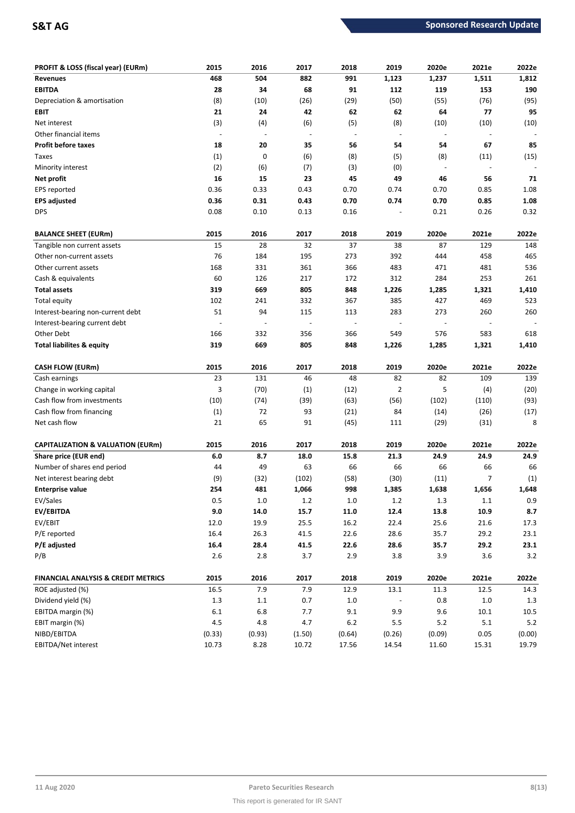| PROFIT & LOSS (fiscal year) (EURm)             | 2015    | 2016    | 2017                     | 2018                     | 2019                     | 2020e                    | 2021e                    | 2022e   |
|------------------------------------------------|---------|---------|--------------------------|--------------------------|--------------------------|--------------------------|--------------------------|---------|
| <b>Revenues</b>                                | 468     | 504     | 882                      | 991                      | 1,123                    | 1,237                    | 1,511                    | 1,812   |
| <b>EBITDA</b>                                  | 28      | 34      | 68                       | 91                       | 112                      | 119                      | 153                      | 190     |
| Depreciation & amortisation                    | (8)     | (10)    | (26)                     | (29)                     | (50)                     | (55)                     | (76)                     | (95)    |
| EBIT                                           | 21      | 24      | 42                       | 62                       | 62                       | 64                       | 77                       | 95      |
| Net interest                                   | (3)     | (4)     | (6)                      | (5)                      | (8)                      | (10)                     | (10)                     | (10)    |
| Other financial items                          | $\sim$  |         | $\overline{\phantom{a}}$ | $\overline{\phantom{a}}$ | $\overline{\phantom{a}}$ | $\overline{\phantom{a}}$ | $\overline{\phantom{a}}$ |         |
| <b>Profit before taxes</b>                     | 18      | 20      | 35                       | 56                       | 54                       | 54                       | 67                       | 85      |
| Taxes                                          | (1)     | 0       | (6)                      | (8)                      | (5)                      | (8)                      | (11)                     | (15)    |
| Minority interest                              | (2)     | (6)     | (7)                      | (3)                      | (0)                      | $\overline{\phantom{a}}$ | $\overline{\phantom{a}}$ |         |
| Net profit                                     | 16      | 15      | 23                       | 45                       | 49                       | 46                       | 56                       | 71      |
| EPS reported                                   | 0.36    | 0.33    | 0.43                     | 0.70                     | 0.74                     | 0.70                     | 0.85                     | 1.08    |
| <b>EPS adjusted</b>                            | 0.36    | 0.31    | 0.43                     | 0.70                     | 0.74                     | 0.70                     | 0.85                     | 1.08    |
| <b>DPS</b>                                     | 0.08    | 0.10    | 0.13                     | 0.16                     |                          | 0.21                     | 0.26                     | 0.32    |
| <b>BALANCE SHEET (EURm)</b>                    | 2015    | 2016    | 2017                     | 2018                     | 2019                     | 2020e                    | 2021e                    | 2022e   |
| Tangible non current assets                    | 15      | 28      | 32                       | 37                       | 38                       | 87                       | 129                      | 148     |
| Other non-current assets                       | 76      | 184     | 195                      | 273                      | 392                      | 444                      | 458                      | 465     |
| Other current assets                           | 168     | 331     | 361                      | 366                      | 483                      | 471                      | 481                      | 536     |
| Cash & equivalents                             | 60      | 126     | 217                      | 172                      | 312                      | 284                      | 253                      | 261     |
| <b>Total assets</b>                            | 319     | 669     | 805                      | 848                      | 1,226                    | 1,285                    | 1,321                    | 1,410   |
| Total equity                                   | 102     | 241     | 332                      | 367                      | 385                      | 427                      | 469                      | 523     |
| Interest-bearing non-current debt              | 51      | 94      | 115                      | 113                      | 283                      | 273                      | 260                      | 260     |
| Interest-bearing current debt                  |         |         |                          | $\overline{\phantom{a}}$ |                          | $\overline{a}$           |                          |         |
| Other Debt                                     | 166     | 332     | 356                      | 366                      | 549                      | 576                      | 583                      | 618     |
| <b>Total liabilites &amp; equity</b>           | 319     | 669     | 805                      | 848                      | 1,226                    | 1,285                    | 1,321                    | 1,410   |
| <b>CASH FLOW (EURm)</b>                        | 2015    | 2016    | 2017                     | 2018                     | 2019                     | 2020e                    | 2021e                    | 2022e   |
| Cash earnings                                  | 23      | 131     | 46                       | 48                       | 82                       | 82                       | 109                      | 139     |
| Change in working capital                      | 3       | (70)    | (1)                      | (12)                     | $\overline{2}$           | 5                        | (4)                      | (20)    |
| Cash flow from investments                     | (10)    | (74)    | (39)                     | (63)                     | (56)                     | (102)                    | (110)                    | (93)    |
| Cash flow from financing                       | (1)     | 72      | 93                       | (21)                     | 84                       | (14)                     | (26)                     | (17)    |
| Net cash flow                                  | 21      | 65      | 91                       | (45)                     | 111                      | (29)                     | (31)                     | 8       |
|                                                |         |         |                          |                          |                          |                          |                          |         |
| <b>CAPITALIZATION &amp; VALUATION (EURm)</b>   | 2015    | 2016    | 2017                     | 2018                     | 2019                     | 2020e                    | 2021e                    | 2022e   |
| Share price (EUR end)                          | 6.0     | 8.7     | 18.0                     | 15.8                     | 21.3                     | 24.9                     | 24.9                     | 24.9    |
| Number of shares end period                    | 44      | 49      | 63                       | 66                       | 66                       | 66                       | 66                       | 66      |
| Net interest bearing debt                      | (9)     | (32)    | (102)                    | (58)                     | (30)                     | (11)                     | 7                        | (1)     |
| <b>Enterprise value</b>                        | 254     | 481     | 1,066                    | 998                      | 1,385                    | 1,638                    | 1,656                    | 1,648   |
| EV/Sales                                       | 0.5     | $1.0\,$ | $1.2\,$                  | $1.0$                    | $1.2\,$                  | 1.3                      | $1.1\,$                  | $0.9\,$ |
| EV/EBITDA                                      | $9.0\,$ | 14.0    | 15.7                     | 11.0                     | 12.4                     | 13.8                     | 10.9                     | 8.7     |
| EV/EBIT                                        | 12.0    | 19.9    | $25.5\,$                 | 16.2                     | 22.4                     | 25.6                     | 21.6                     | 17.3    |
| P/E reported                                   | 16.4    | 26.3    | 41.5                     | 22.6                     | 28.6                     | 35.7                     | 29.2                     | 23.1    |
| P/E adjusted                                   | 16.4    | 28.4    | 41.5                     | 22.6                     | 28.6                     | 35.7                     | 29.2                     | 23.1    |
| P/B                                            | $2.6$   | 2.8     | 3.7                      | 2.9                      | 3.8                      | 3.9                      | 3.6                      | 3.2     |
| <b>FINANCIAL ANALYSIS &amp; CREDIT METRICS</b> | 2015    | 2016    | 2017                     | 2018                     | 2019                     | 2020e                    | 2021e                    | 2022e   |
| ROE adjusted (%)                               | 16.5    | 7.9     | 7.9                      | 12.9                     | 13.1                     | 11.3                     | 12.5                     | 14.3    |
| Dividend yield (%)                             | 1.3     | $1.1\,$ | 0.7                      | $1.0\,$                  |                          | 0.8                      | $1.0\,$                  | $1.3$   |
| EBITDA margin (%)                              | $6.1\,$ | 6.8     | 7.7                      | 9.1                      | 9.9                      | 9.6                      | 10.1                     | 10.5    |
| EBIT margin (%)                                | 4.5     | $4.8\,$ | 4.7                      | $6.2\,$                  | 5.5                      | $5.2$                    | 5.1                      | $5.2\,$ |
| NIBD/EBITDA                                    | (0.33)  | (0.93)  | (1.50)                   | (0.64)                   | (0.26)                   | (0.09)                   | 0.05                     | (0.00)  |
| EBITDA/Net interest                            | 10.73   | 8.28    | 10.72                    | 17.56                    | 14.54                    | 11.60                    | 15.31                    | 19.79   |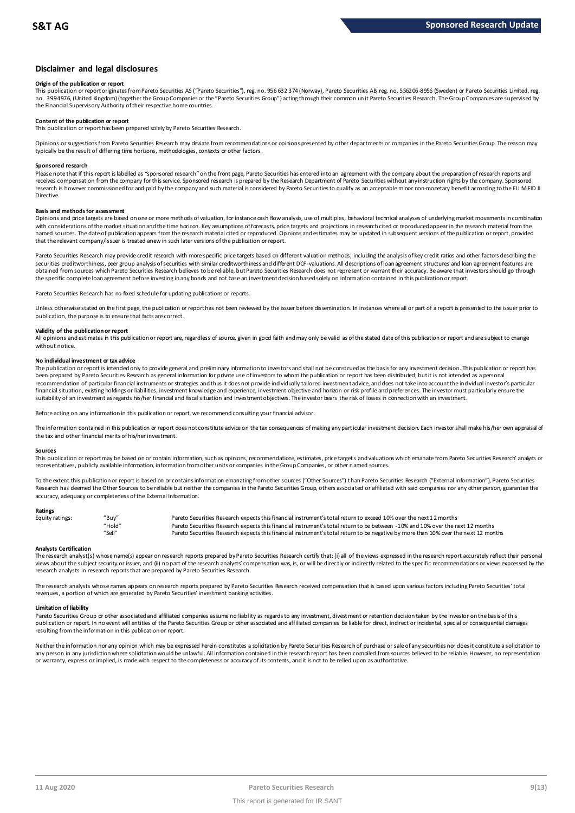## **Disclaimer and legal disclosures**

### **Origin of the publication or report**

This publication or report originates from Pareto Securities AS ("Pareto Securities"), reg. no. 956 632 374 (Norway), Pareto Securities AB, reg. no. 556206-8956 (Sweden) or Pareto Securities Limited, reg. no. 3994976, (United Kingdom) (together the Group Companies or the "Pareto Securities Group") acting through their common un it Pareto Securities Research. The Group Companies are supervised by the Financial Supervisory Authority of their respective home countries.

### **Content of the publication or report**

This publication or report has been prepared solely by Pareto Securities Research.

Opinions or suggestions from Pareto Securities Research may deviate from recommendations or opinions presented by other departments or companies in the Pareto Securities Group. The reason may typically be the result of differing time horizons, methodologies, contexts or other factors.

### **Sponsored research**

Please note that if this report is labelled as "sponsored research" on the front page, Pareto Securities has entered into an agreement with the company about the preparation of research reports and receives compensation from the company for this service. Sponsored research is prepared by the Research Department of Pareto Securities without any instruction rights by the company. Sponsored research is however commissioned for and paid by the company and such material is considered by Pareto Securities to qualify as an acceptable minor non-monetary benefit according to the EU MiFID II Directive.

### **Basis and methods for assessment**

Opinions and price targets are based on one or more methods of valuation, for instance cash flow analysis, use of multiples, behavioral technical analyses of underlying market movements in combination with considerations of the market situation and the time horizon. Key assumptions of forecasts, price targets and projections in research cited or reproduced appear in the research material from the named sources. The date of publication appears from the research material cited or reproduced. Opinions and estimates may be updated in subsequent versions of the publication or report, provided in subsequent versions of t that the relevant company/issuer is treated anew in such later versions of the publication or report.

Pareto Securities Research may provide credit research with more specific price targets based on different valuation methods, including the analysis of key credit ratios and other factors describing the securities creditworthiness, peer group analysis of securities with similar creditworthiness and different DCF-valuations. All descriptions of loan agreement structures and loan agreement features are obtained from sources which Pareto Securities Research believes to be reliable, but Pareto Securities Research does not represent or warrant their accuracy. Be aware that investors should go through the specific complete loan agreement before investing in any bonds and not base an investment decision based solely on information contained in this publication or report.

Pareto Securities Research has no fixed schedule for updating publications or reports.

Unless otherwise stated on the first page, the publication or report has not been reviewed by the issuer before dissemination. In instances where all or part of a report is presented to the issuer prior to publication, the purpose is to ensure that facts are correct.

### **Validity of the publication or report**

All opinions and estimates in this publication or report are, regardless of source, given in good faith and may only be valid as of the stated date of this publication or report and are subject to change without notice.

### **No individual investment or tax advice**

The publication or report is intended only to provide general and preliminary information to investors and shall not be construed as the basis for any investment decision. This publication or report has been prepared by Pareto Securities Research as general information for private use of investors to whom the publication or report has been distributed, but it is not intended as a personal recommendation of partiɑɪlar financial instruments or strategies and thus it does not provide individually tailored investmen tadvice, and does not take into account the individual investor's particular<br>financial situation suitability of an investment as regards his/her financial and fiscal situation and investment objectives. The investor bears the risk of losses in connection with an investment.

Before acting on any information in this publication or report, we recommend consulting your financial advisor.

The information contained in this publication or report does not constitute advice on the tax consequences of making any particular investment decision. Each investor shall make his/her own appraisal of the tax and other financial merits of his/her investment.

### **Sources**

This publication or report may be based on or contain information, such as opinions, recommendations, estimates, price targets and valuations which emanate from Pareto Securities Research' analysts or representatives, publicly available information, information from other units or companies in the Group Companies, or other named sources.

To the extent this publication or report is based on or contains information emanating from other sources ("Other Sources") than Pareto Securities Research ("External Information"), Pareto Securities Research has deemed the Other Sources to be reliable but neither the companies in the Pareto Securities Group, others associated or affiliated with said companies nor any other person, guarantee the accuracy, adequacy or completeness of the External Information.

### **Ratings**

| Equity ratings: | "Buy"  | Pareto Securities Research expects this financial instrument's total return to exceed 10% over the next 12 months                   |
|-----------------|--------|-------------------------------------------------------------------------------------------------------------------------------------|
|                 | "Hold" | Pareto Securities Research expects this financial instrument's total return to be between -10% and 10% over the next 12 months      |
|                 | "Sell" | Pareto Securities Research expects this financial instrument's total return to be negative by more than 10% over the next 12 months |

Analysts Certification<br>The research analyst(s) whose name(s) appear on research reports prepared by Pareto Securities Research certify that: (i) all of the views expressed in the research report accurately reflect their pe "Hold" Pareto Securities Research expects this financial instrument's total return to be between -1.0% and 10% over the next 12 months<br>"Sell" Pareto Securities Research expects this financial instrument's total return to b research analysts in research reports that are prepared by Pareto Securities Research.

The research analysts whose names appears on research reports prepared by Pareto Securities Research received compensation that is based upon various factors including Pareto Securities' total<br>revenues, a portion of which

### **Limitation of liability**

Pareto Securities Group or other associated and affiliated companies assume no liablity as regards to any investment, divestment or retention decision taken by the investor on the basis of this<br>publication or report. In no resulting from the information in this publication or report.

Neither the information nor any opinion which may be expressed herein constitutes a soligitation by Pareto Securities Research of purchase or sale of any securities nor does it constitute a soligitation to any person in any jurisdiction where solicitation would be unlawful. All information contained in this research report has been compiled from sources believed to be reliable. However, no representation or warranty, express or implied, is made with respect to the completeness or accuracy of its contents, and it is not to be relied upon as authoritative.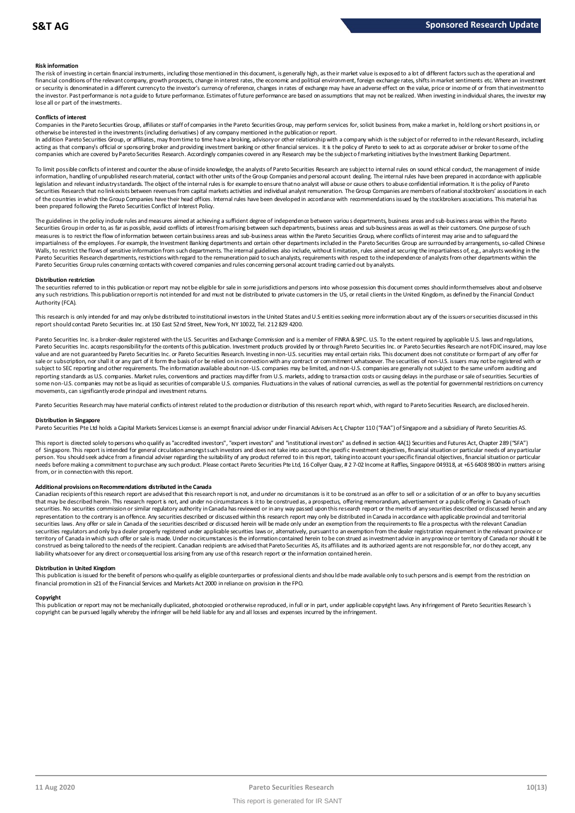### **Risk information**

The risk of investing in certain financial instruments, including those mentioned in this document, is generally high, as their market value is exposed to a lot of different factors such as the operational and financial conditions of the relevant company, growth prospects, change in interest rates, the economic and political environment, foreign exchange rates, shifts in market sentiments etc. Where an investment met.<br>or securit the investor. Past performance is not a guide to future performance. Estimates of future performance are based on assumptions that may not be realized. When investing in individual shares, the investor may lose all or part of the investments.

### **Conflicts of interest**

Companies in the Pareto Securities Group, affiliates or staff of companies in the Pareto Securities Group, may perform services for, solicit business from, make a market in, hold long or short positions in, or otherwise be interested in the investments (including derivatives) of any company mentioned in the publication or report.

In addition Pareto Securities Group, or affiliates, may from time to time have a broking, advisory or other relationship with a company which is the subject of or referred to in the relevant Research, including acting as that company's official or sponsoring broker and providing investment banking or other financial services. It is the policy of Pareto to seek to act as corporate adviser or broker to some of the<br>companies which a

To limit possible conflicts of interest and counter the abuse of inside knowledge, the analysts of Pareto Securities Research are subject to internal rules on sound ethical conduct, the management of inside<br>information, ha legislation and relevant industry standards. The object of the internal rules is for example to ensure that no analyst will abuse or cause others to abuse confidential information. It is the policy of Pareto Securities Research that no link exists between revenues from capital markets activities and individual analyst remuneration. The Group Companies are members of national stockbrokers' associations in each of the countries in which the Group Companies have their head offices. Internal rules have been developed in accordance with recommendations issued by the stockbrokers associations. This material has been prepared following the Pareto Securities Conflict of Interest Policy.

The guidelines in the policy indude rules and measures aimed at achieving a sufficient degree of independence between various departments, business areas and sub-business areas within the Pareto<br>Securities Group in order t measures is to restrict the flow of information between certain business areas and sub-business areas within the Pareto Securities Group, where conflicts of interest may arise and to safeguard the impartialness of the empl The guidelines in the policy indude rules and measures aimed at achieving a sufficient degree of independence between various departments, business areas and sub-business areas within the Pareto<br>Securities Group in order t Walls, to restrict the flows of sensitive information from such departments. The internal guidelines also include, without limitation, rules aimed at securing the impartialness of, e.g., analysts working in the<br>Pareto Secu Pareto Securities Group rules concerning contacts with covered companies and rules concerning personal account trading carried out by analysts.

### **Distribution restriction**

The securities referred to in this publication or report may not be eligible for sale in some jurisdictions and persons into whose possession this document comes should inform themselves about and observe Pareto Securities Group rules concerning contacts with covered companies and rules concerning personal account trading carried out by analysts.<br>Distribution restriction<br>The securities referred to in this publication or rep Authority (FCA).

This research is only intended for and may only be distributed to institutional investors in the United States and U.S entities seeking more information about any of the issuers or securities discussed in this report should contact Pareto Securities Inc. at 150 East 52nd Street, New York, NY 10022, Tel. 212 829 4200.

Pareto Securities Inc. is a broker-dealer registered with the U.S. Securities and Exchange Commission and is a member of FINRA & SIPC. U.S. To the extent required by applicable U.S. laws and regulations, Pareto Securities Inc. accepts responsibility for the contents of this publication. Investment products provided by or through Pareto Securities Inc. or Pareto Securities Research are not FDIC insured, may lose value and are not guaranteed by Pareto Securities Inc. or Pareto Securities Research. Investing in non-U.S. securities may entail certain risks. This document does not constitute or form part of any offer for sale or subscription, nor shall it or any part of it form the basis of or be relied on in connection with any contract or commitment whatsoever. The securities of non-U.S. issuers may not be registered with or subject to SEC reporting and other requirements. The information available about non-U.S. companies may be limited, and non-U.S. companies are generally not subject to the same uniform auditing and subject to the same unif reporting standards as U.S. companies. Market rules, conventions and practices may differ from U.S. markets, adding to transaction costs or causing delays in the purchase or sale of securities. Securities of some non-U.S. companies may not be as liquid as securities of comparable U.S. companies. Fluctuations in the values of national currencies, as well as the potential for governmental restrictions on currency movements, can significantly erode principal and investment returns.

Pareto Securities Research may have material conflicts of interest related to the production or distribution of this research report which, with regard to Pareto Securities Research, are disclosed herein.

### **Distribution in Singapore**

Pareto Securities Pte Ltd holds a Capital Markets Services License is an exempt financial advisor under Financial Advisers Act, Chapter 110 ("FAA") of Singapore and a subsidiary of Pareto Securities AS.

This report is directed solely to persons who qualify as "accredited investors", "expert investors" and "institutional investors" as defined in section 4A(1) Securities and Futures Act, Chapter 289 ("SFA") Distribution in Singapore<br>Pareto Securities Pte Ltd holds a Capital Markets Services License is an exempt financial advisor under Financial Advisers Act, Chapter 110 ("FAA") of Singapore and a subsidiary of Pareto Securiti person. You should seek advice from a financial adviser regarding the suitability of any product referred to in this report, taking into account your specific financial objectives, financial situation or particular needs before making a commitment to purchase any such product. Please contact Pareto Securities Pte Ltd, 16 Collyer Quay, # 2 7-02 Income at Raffles, Singapore 049318, at +65 6408 9800 in matters arising from, or in connection with this report.

Additional provisions on Recommendations distributed in the Canada<br>Canadian recipients of this research report are advised that this research report is not, and under no circumstances is it to be construed as an offer to s that may be described herein. This research report is not, and under no circumstances is it to be construed as, a prospectus, offering memorandum, advertisement or a public offering in Canada of such from, or in connection with this report.<br>Additional provisions on Recommendations distributed in the Canada<br>Canadian recipients of this research report are advised that this research report is not, and under no circumstanc representation to the contrary is an offence. Any securities described or discussed within this research report may only be distributed in Canada in accordance with applicable provincial and territorial<br>securities laws. An securities regulators and only by a dealer properly registered under applicable securities laws or, alternatively, pursuant to an exemption from the dealer registration requirement in the relevant province or territory of Canada in which such offer or sale is made. Under no circumstances is the information contained herein to be construed as investment advice in any province or territory of Canada nor should it be construed as being tailored to the needs of the recipient. Canadian redpients are advised that Pareto Securities AS, its affiliates and its authorized agents are not responsible for, nor do they accept, any liability whatsoever for any direct or consequential loss arising from any use of this research report or the information contained herein.

### **Distribution in United Kingdom**

This publication is issued for the benefit of persons who qualify as eligible counterparties or professional dients and should be made available only to such persons and is exempt from the restriction on financial promotion in s21 of the Financial Services and Markets Act 2000 in reliance on provision in the FPO.

### **Copyright**

This publication or report may not be mechanically duplicated, photocopied or otherwise reproduced, in full or in part, under applicable copyright laws. Any infringement of Pareto Securities Research's copyright can be pursued legally whereby the infringer will be held liable for any and all losses and expenses incurred by the infringement.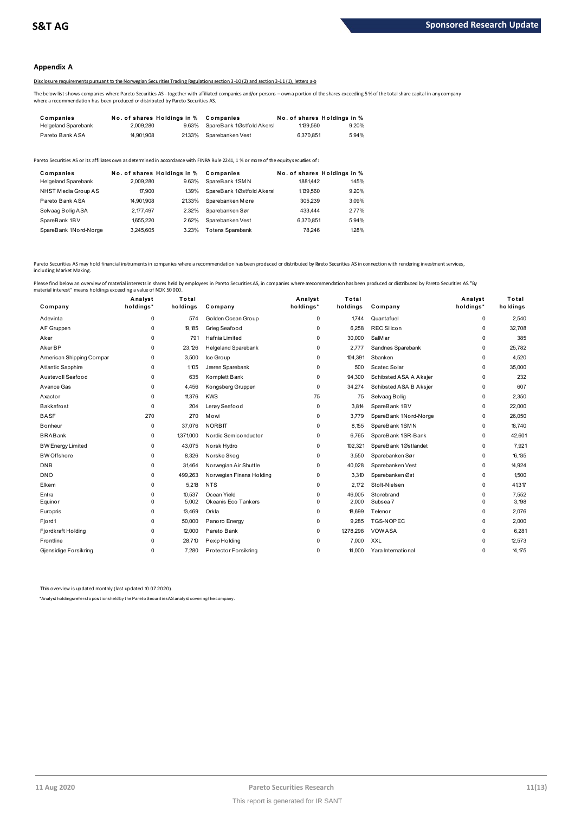### **Appendix A**

### Disclosure requirements pursuant to the Norwegian Securities Trading Regulations section 3-10 (2) and section 3-11 (1), letters a-b

The below list shows companies where Pareto Securities AS -together with affiliated companies and/or persons – own a portion of the shares exceeding 5 % of the total share capital in any company where a recommendation has been produced or distributed by Pareto Securities AS.

|                                                                                  |                             |       | 2012 2013 DISCLOSURE Requirements bursuant to the Norwegian Securities Trading Regulations section 3-10(2) and section 3-11(1). Tetters a-b          |                             |       |
|----------------------------------------------------------------------------------|-----------------------------|-------|------------------------------------------------------------------------------------------------------------------------------------------------------|-----------------------------|-------|
| where a recommendation has been produced or distributed by Pareto Securities AS. |                             |       | The below list shows companies where Pareto Securities AS -together with affiliated companies and/or persons –own a portion of the shares exceeding! |                             |       |
| Companies                                                                        | No. of shares Holdings in % |       | Companies                                                                                                                                            | No. of shares Holdings in % |       |
| <b>Helgeland Sparebank</b>                                                       | 2.009.280                   | 9.63% | SpareBank 1Østfold Akersl                                                                                                                            | 1139.560                    | 9.20% |
| Pareto Bank ASA                                                                  | 14.901.908                  | 2133% | Sparebanken Vest                                                                                                                                     | 6.370.851                   | 5.94% |
|                                                                                  |                             |       |                                                                                                                                                      |                             |       |

| <b>I GIVIV DAIIN AVA</b>                                                                                                              | 17.JU 1.JUU                 |       | <u>2.</u> 2007 <b>DUCH CUCHING I</b> | <b>U.U.U.U.U</b>            | <b>J.JT/U</b> |
|---------------------------------------------------------------------------------------------------------------------------------------|-----------------------------|-------|--------------------------------------|-----------------------------|---------------|
| Pareto Securities AS or its affiliates own as determined in accordance with FINRA Rule 2241. 1 % or more of the equity securiies of : |                             |       |                                      |                             |               |
| Companies                                                                                                                             | No. of shares Holdings in % |       | Companies                            | No. of shares Holdings in % |               |
| <b>Helgeland Sparebank</b>                                                                                                            | 2.009.280                   | 9.63% | SpareBank 1SMN                       | 1881442                     | 145%          |
| NHST Media Group AS                                                                                                                   | 17.900                      | 139%  | SpareBank 1Østfold Akersl            | 1,139,560                   | 9.20%         |
| Pareto Bank ASA                                                                                                                       | 14.901.908                  | 2133% | Sparebanken Møre                     | 305.239                     | 3.09%         |
| Selvaag Bolig ASA                                                                                                                     | 2.177.497                   | 2.32% | Sparebanken Sør                      | 433,444                     | 2.77%         |
| SpareBank 1BV                                                                                                                         | 1655.220                    | 2.62% | Sparebanken Vest                     | 6.370.851                   | 5.94%         |
| SpareBank 1Nord-Norge                                                                                                                 | 3.245.605                   | 3.23% | <b>Totens Sparebank</b>              | 78.246                      | 128%          |

Pareto Securities AS may hold financial instruments in companies where a recommendation has been produced or distributed by Breto Securities AS in connection with rendering investment services, including Market Making.

| Company                  | Analyst<br>holdings* | Total<br>holdings | Company                    | Analyst<br>holdings* | Total<br>holdings | Company                | Analyst<br>holdings* | Total<br>holdings |
|--------------------------|----------------------|-------------------|----------------------------|----------------------|-------------------|------------------------|----------------------|-------------------|
| Adevinta                 | 0                    | 574               | Golden Ocean Group         | 0                    | 1744              | Quantafuel             | 0                    | 2,540             |
| AF Gruppen               | $\Omega$             | 19,185            | Grieg Seafood              | $\Omega$             | 6,258             | <b>REC Silicon</b>     | 0                    | 32,708            |
| Aker                     | 0                    | 791               | Hafnia Limited             | $\Omega$             | 30,000            | SalM ar                | 0                    | 385               |
| Aker BP                  | 0                    | 23,126            | <b>Helgeland Sparebank</b> | 0                    | 2,777             | Sandnes Sparebank      | 0                    | 25,782            |
| American Shipping Compar | 0                    | 3,500             | Ice Group                  | 0                    | 104,391           | Sbanken                | 0                    | 4,520             |
| Atlantic Sapphire        | $\Omega$             | 1,105             | Jæren Sparebank            | 0                    | 500               | Scatec Solar           | 0                    | 35,000            |
| Austevoll Seafood        | 0                    | 635               | Komplett Bank              | 0                    | 94,300            | Schibsted ASA A Aksjer | 0                    | 232               |
| Avance Gas               | $\Omega$             | 4,456             | Kongsberg Gruppen          | $\Omega$             | 34,274            | Schibsted ASA B Aksjer | 0                    | 607               |
| Axactor                  | 0                    | 11,376            | <b>KWS</b>                 | 75                   | 75                | Selvaag Bolig          | 0                    | 2,350             |
| <b>Bakkafrost</b>        | 0                    | 204               | Lerøy Seafood              | 0                    | 3,814             | SpareBank 1BV          | 0                    | 22,000            |
| <b>BASF</b>              | 270                  | 270               | Mowi                       | $\Omega$             | 3,779             | SpareBank 1Nord-Norge  | 0                    | 26,050            |
| <b>B</b> onheur          | 0                    | 37,076            | <b>NORBIT</b>              | 0                    | 8,155             | SpareBank 1SMN         | 0                    | 18,740            |
| <b>BRABank</b>           | 0                    | 1,371,000         | Nordic Semiconductor       | $\Omega$             | 6,765             | SpareBank 1SR-Bank     | 0                    | 42,601            |
| <b>BW Energy Limited</b> | 0                    | 43,075            | Norsk Hydro                | 0                    | 102,321           | SpareBank 1Østlandet   | 0                    | 7,921             |
| <b>BW</b> Offshore       | 0                    | 8,326             | Norske Skog                | 0                    | 3,550             | Sparebanken Sør        | 0                    | 16,135            |
| <b>DNB</b>               | 0                    | 31,464            | Norwegian Air Shuttle      | $\Omega$             | 40,028            | Sparebanken Vest       | 0                    | 14,924            |
| <b>DNO</b>               | 0                    | 499,263           | Norwegian Finans Holding   | 0                    | 3,310             | Sparebanken Øst        | 0                    | 1.500             |
| Elkem                    | 0                    | 5,218             | <b>NTS</b>                 | 0                    | 2,172             | Stolt-Nielsen          | 0                    | 41,317            |
| Entra                    | 0                    | 10,537            | Ocean Yield                | 0                    | 46,005            | Storebrand             | 0                    | 7,552             |
| Equinor                  | $\Omega$             | 5,002             | Okeanis Eco Tankers        | $\Omega$             | 2,000             | Subsea 7               | $\Omega$             | 3,198             |
| Europris                 | 0                    | 13,469            | Orkla                      | 0                    | 18,699            | Telenor                | 0                    | 2,076             |
| Fjord1                   | $\Omega$             | 50,000            | Panoro Energy              | $\Omega$             | 9.285             | TGS-NOPEC              | $\Omega$             | 2,000             |
| Fjordkraft Holding       | 0                    | 12,000            | Pareto Bank                | 0                    | 1,278,298         | VOWASA                 | 0                    | 6.281             |
| Frontline                | 0                    | 28,710            | Pexip Holding              | 0                    | 7,000             | <b>XXL</b>             | 0                    | 12,573            |
| Gjensidige Forsikring    | $\Omega$             | 7,280             | Protector Forsikring       | $\Omega$             | 14,000            | Yara International     | 0                    | 14,175            |

This overview is updated monthly (last updated 10.07.2020).

\*Analyst holdings ref ers t o posit ions held by t he Paret o Securit ies AS analyst covering t he company.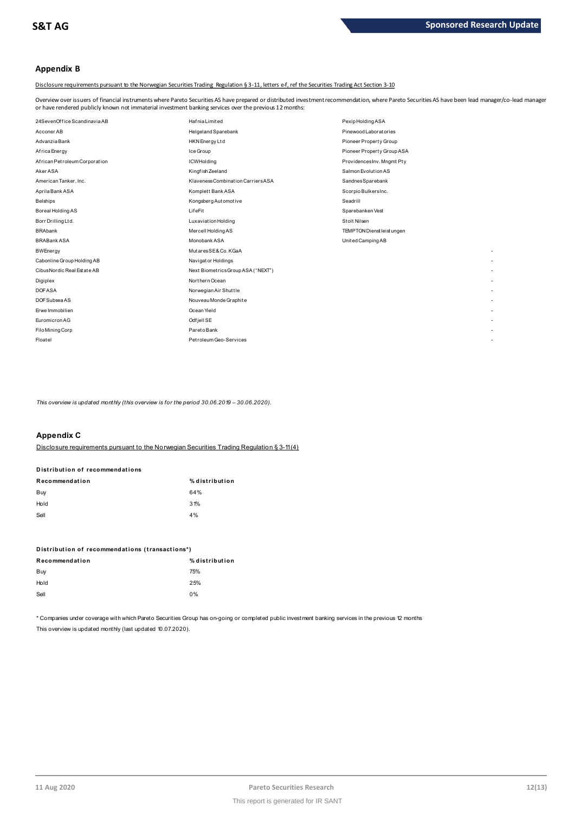## **Appendix B**

Disclosure requirements pursuant to the Norwegian Securities Trading Regulation § 3-11, letters e-f, ref the Securities Trading Act Section 3-10

Overview over issuers of financial instruments where Pareto Securities AS have prepared or distributed investment recommendation, where Pareto Securities AS have been lead manager/co-lead manager or have rendered publicly known not immaterial investment banking services over the previous 12 months:

| 24SevenOffice Scandinavia AB  | <b>HafniaLimited</b>               | Pexip Holding ASA          |
|-------------------------------|------------------------------------|----------------------------|
| Acconer AB                    | Helgeland Sparebank                | Pinewood Laboratories      |
| Advanzia Bank                 | HKN Energy Ltd                     | Pioneer Property Group     |
| Africa Energy                 | Ice Group                          | Pioneer Property Group ASA |
| African Petroleum Corporation | <b>ICWHolding</b>                  | ProvidencesInv. Mngmt Pty  |
| Aker ASA                      | Kingfish Zeeland                   | Salmon Evolution AS        |
| American Tanker, Inc.         | Klaveness Combination Carriers ASA | SandnesSparebank           |
| Aprila Bank ASA               | Komplett Bank ASA                  | Scorpio BulkersInc.        |
| <b>Belships</b>               | Kongsberg Automotive               | Seadrill                   |
| Boreal Holding AS             | LifeFit                            | Sparebanken Vest           |
| Borr Drilling Ltd.            | Luxaviation Holding                | Stolt Nilsen               |
| <b>BRAbank</b>                | Mercell Holding AS                 | TEMPTON Dienst leist ungen |
| <b>BRABank ASA</b>            | Monobank ASA                       | United Camping AB          |
| <b>BWEnergy</b>               | Mutares SE& Co. KGaA               |                            |
| Cabonline Group Holding AB    | Navigator Holdings                 |                            |
| Cibus Nordic Real Est at e AB | Next BiometricsGroup ASA ("NEXT")  |                            |
| Digiplex                      | Northern Ocean                     |                            |
| <b>DOFASA</b>                 | Norwegian Air Shuttle              |                            |
| DOF Subsea AS                 | Nouveau Monde Graphite             |                            |
| Erwe Immobilien               | Ocean Yield                        |                            |
| Euromicron AG                 | Odfjell SE                         |                            |
| Filo Mining Corp              | ParetoBank                         |                            |
| Floatel                       | Petroleum Geo-Services             |                            |
|                               |                                    |                            |

This overview is updated monthly (this overview is for the period 30.06.2019 - 30.06.2020).

## **Appendix C**

Disclosure requirements pursuant to the Norwegian Securities Trading Requiation § 3-11(4)

### Distribution of recommendations % distribution Recommendation Buy 64% Hold  $31%$ Sell  $4%$

| Distribution of recommendations (transactions*) |                  |  |  |  |
|-------------------------------------------------|------------------|--|--|--|
| Recommendation                                  | $%$ distribution |  |  |  |
| Buy                                             | 75%              |  |  |  |
| Hold                                            | 25%              |  |  |  |
| Sell                                            | 0%               |  |  |  |

\* Companies under coverage with which Pareto Securities Group has on-going or completed public investment banking services in the previous 12 months This overview is updated monthly (last updated 10.07.2020).